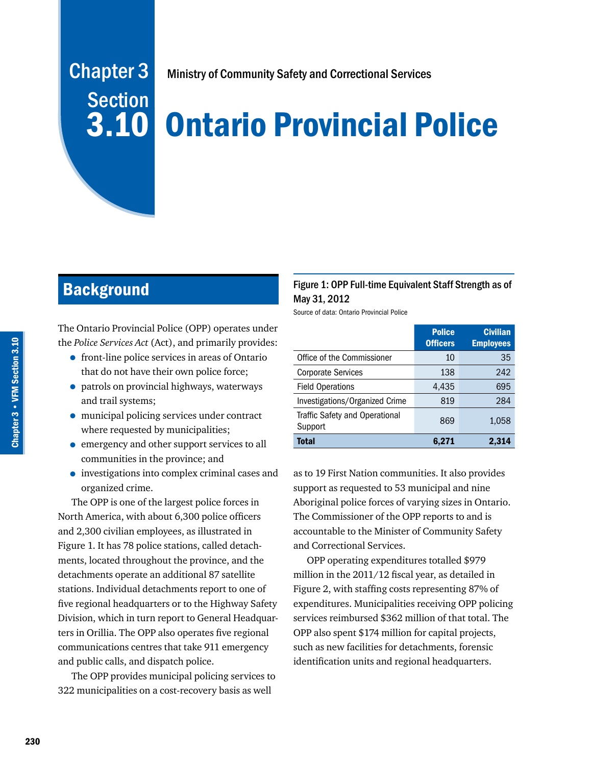# Chapter 3 **Section**

Ministry of Community Safety and Correctional Services

## 3.10 Ontario Provincial Police

## **Background**

The Ontario Provincial Police (OPP) operates under the *Police Services Act* (Act), and primarily provides:

- front-line police services in areas of Ontario that do not have their own police force;
- patrols on provincial highways, waterways and trail systems;
- municipal policing services under contract where requested by municipalities;
- emergency and other support services to all communities in the province; and
- investigations into complex criminal cases and organized crime.

The OPP is one of the largest police forces in North America, with about 6,300 police officers and 2,300 civilian employees, as illustrated in Figure 1. It has 78 police stations, called detachments, located throughout the province, and the detachments operate an additional 87 satellite stations. Individual detachments report to one of five regional headquarters or to the Highway Safety Division, which in turn report to General Headquarters in Orillia. The OPP also operates five regional communications centres that take 911 emergency and public calls, and dispatch police.

The OPP provides municipal policing services to 322 municipalities on a cost-recovery basis as well

#### Figure 1: OPP Full-time Equivalent Staff Strength as of May 31, 2012

Source of data: Ontario Provincial Police

|                                           | <b>Police</b><br><b>Officers</b> | <b>Civilian</b><br><b>Employees</b> |
|-------------------------------------------|----------------------------------|-------------------------------------|
| Office of the Commissioner                | 10                               | 35                                  |
| <b>Corporate Services</b>                 | 138                              | 242                                 |
| <b>Field Operations</b>                   | 4,435                            | 695                                 |
| Investigations/Organized Crime            | 819                              | 284                                 |
| Traffic Safety and Operational<br>Support | 869                              | 1,058                               |
| <b>Total</b>                              | 6,271                            | 2,314                               |

as to 19 First Nation communities. It also provides support as requested to 53 municipal and nine Aboriginal police forces of varying sizes in Ontario. The Commissioner of the OPP reports to and is accountable to the Minister of Community Safety and Correctional Services.

OPP operating expenditures totalled \$979 million in the 2011/12 fiscal year, as detailed in Figure 2, with staffing costs representing 87% of expenditures. Municipalities receiving OPP policing services reimbursed \$362 million of that total. The OPP also spent \$174 million for capital projects, such as new facilities for detachments, forensic identification units and regional headquarters.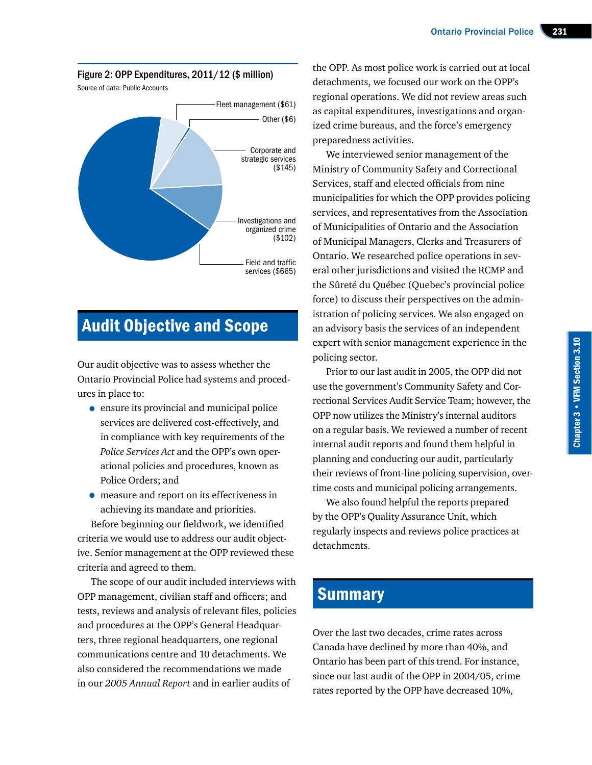Figure 2: OPP Expenditures, 2011/12 (\$ million)



## Audit Objective and Scope

Our audit objective was to assess whether the Ontario Provincial Police had systems and procedures in place to:

- ensure its provincial and municipal police services are delivered cost-effectively, and in compliance with key requirements of the *Police Services Act* and the OPP's own operational policies and procedures, known as Police Orders; and
- measure and report on its effectiveness in achieving its mandate and priorities.

Before beginning our fieldwork, we identified criteria we would use to address our audit objective. Senior management at the OPP reviewed these criteria and agreed to them.

The scope of our audit included interviews with OPP management, civilian staff and officers; and tests, reviews and analysis of relevant files, policies and procedures at the OPP's General Headquarters, three regional headquarters, one regional communications centre and 10 detachments. We also considered the recommendations we made in our *2005 Annual Report* and in earlier audits of

the OPP. As most police work is carried out at local detachments, we focused our work on the OPP's regional operations. We did not review areas such as capital expenditures, investigations and organized crime bureaus, and the force's emergency preparedness activities.

We interviewed senior management of the Ministry of Community Safety and Correctional Services, staff and elected officials from nine municipalities for which the OPP provides policing services, and representatives from the Association of Municipalities of Ontario and the Association of Municipal Managers, Clerks and Treasurers of Ontario. We researched police operations in several other jurisdictions and visited the RCMP and the Sûreté du Québec (Quebec's provincial police force) to discuss their perspectives on the administration of policing services. We also engaged on an advisory basis the services of an independent expert with senior management experience in the policing sector.

Prior to our last audit in 2005, the OPP did not use the government's Community Safety and Correctional Services Audit Service Team; however, the OPP now utilizes the Ministry's internal auditors on a regular basis. We reviewed a number of recent internal audit reports and found them helpful in planning and conducting our audit, particularly their reviews of front-line policing supervision, overtime costs and municipal policing arrangements.

We also found helpful the reports prepared by the OPP's Quality Assurance Unit, which regularly inspects and reviews police practices at detachments.

## **Summary**

Over the last two decades, crime rates across Canada have declined by more than 40%, and Ontario has been part of this trend. For instance, since our last audit of the OPP in 2004/05, crime rates reported by the OPP have decreased 10%,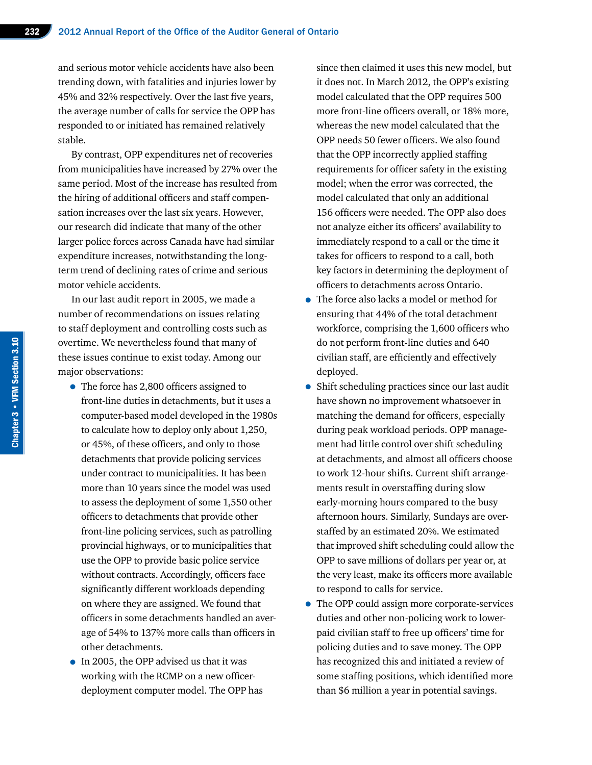and serious motor vehicle accidents have also been trending down, with fatalities and injuries lower by 45% and 32% respectively. Over the last five years, the average number of calls for service the OPP has responded to or initiated has remained relatively stable.

By contrast, OPP expenditures net of recoveries from municipalities have increased by 27% over the same period. Most of the increase has resulted from the hiring of additional officers and staff compensation increases over the last six years. However, our research did indicate that many of the other larger police forces across Canada have had similar expenditure increases, notwithstanding the longterm trend of declining rates of crime and serious motor vehicle accidents.

In our last audit report in 2005, we made a number of recommendations on issues relating to staff deployment and controlling costs such as overtime. We nevertheless found that many of these issues continue to exist today. Among our major observations:

- The force has 2,800 officers assigned to front-line duties in detachments, but it uses a computer-based model developed in the 1980s to calculate how to deploy only about 1,250, or 45%, of these officers, and only to those detachments that provide policing services under contract to municipalities. It has been more than 10 years since the model was used to assess the deployment of some 1,550 other officers to detachments that provide other front-line policing services, such as patrolling provincial highways, or to municipalities that use the OPP to provide basic police service without contracts. Accordingly, officers face significantly different workloads depending on where they are assigned. We found that officers in some detachments handled an average of 54% to 137% more calls than officers in other detachments.
- In 2005, the OPP advised us that it was working with the RCMP on a new officerdeployment computer model. The OPP has

since then claimed it uses this new model, but it does not. In March 2012, the OPP's existing model calculated that the OPP requires 500 more front-line officers overall, or 18% more, whereas the new model calculated that the OPP needs 50 fewer officers. We also found that the OPP incorrectly applied staffing requirements for officer safety in the existing model; when the error was corrected, the model calculated that only an additional 156 officers were needed. The OPP also does not analyze either its officers' availability to immediately respond to a call or the time it takes for officers to respond to a call, both key factors in determining the deployment of officers to detachments across Ontario.

- The force also lacks a model or method for ensuring that 44% of the total detachment workforce, comprising the 1,600 officers who do not perform front-line duties and 640 civilian staff, are efficiently and effectively deployed.
- Shift scheduling practices since our last audit have shown no improvement whatsoever in matching the demand for officers, especially during peak workload periods. OPP management had little control over shift scheduling at detachments, and almost all officers choose to work 12-hour shifts. Current shift arrangements result in overstaffing during slow early-morning hours compared to the busy afternoon hours. Similarly, Sundays are overstaffed by an estimated 20%. We estimated that improved shift scheduling could allow the OPP to save millions of dollars per year or, at the very least, make its officers more available to respond to calls for service.
- The OPP could assign more corporate-services duties and other non-policing work to lowerpaid civilian staff to free up officers' time for policing duties and to save money. The OPP has recognized this and initiated a review of some staffing positions, which identified more than \$6 million a year in potential savings.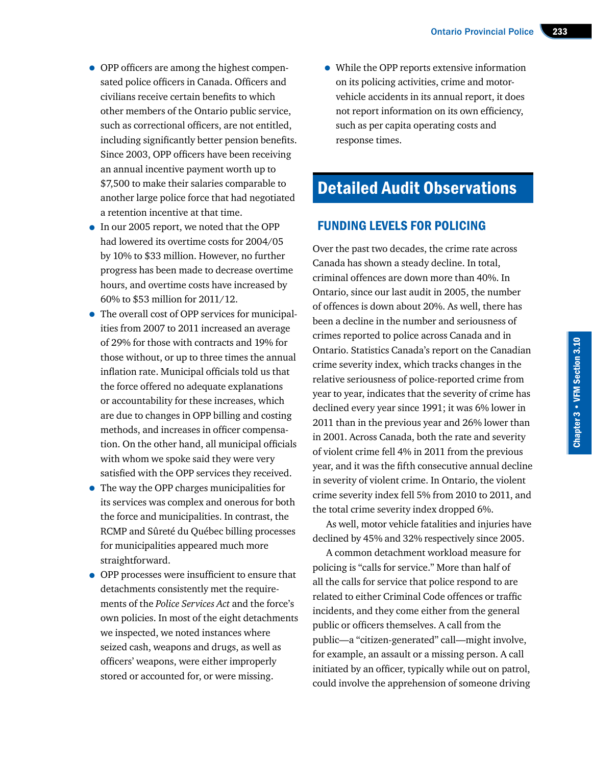- OPP officers are among the highest compensated police officers in Canada. Officers and civilians receive certain benefits to which other members of the Ontario public service, such as correctional officers, are not entitled, including significantly better pension benefits. Since 2003, OPP officers have been receiving an annual incentive payment worth up to \$7,500 to make their salaries comparable to another large police force that had negotiated a retention incentive at that time.
- In our 2005 report, we noted that the OPP had lowered its overtime costs for 2004/05 by 10% to \$33 million. However, no further progress has been made to decrease overtime hours, and overtime costs have increased by 60% to \$53 million for 2011/12.
- The overall cost of OPP services for municipalities from 2007 to 2011 increased an average of 29% for those with contracts and 19% for those without, or up to three times the annual inflation rate. Municipal officials told us that the force offered no adequate explanations or accountability for these increases, which are due to changes in OPP billing and costing methods, and increases in officer compensation. On the other hand, all municipal officials with whom we spoke said they were very satisfied with the OPP services they received.
- The way the OPP charges municipalities for its services was complex and onerous for both the force and municipalities. In contrast, the RCMP and Sûreté du Québec billing processes for municipalities appeared much more straightforward.
- OPP processes were insufficient to ensure that detachments consistently met the requirements of the *Police Services Act* and the force's own policies. In most of the eight detachments we inspected, we noted instances where seized cash, weapons and drugs, as well as officers' weapons, were either improperly stored or accounted for, or were missing.

• While the OPP reports extensive information on its policing activities, crime and motorvehicle accidents in its annual report, it does not report information on its own efficiency, such as per capita operating costs and response times.

## Detailed Audit Observations

#### FUNDING LEVELS FOR POLICING

Over the past two decades, the crime rate across Canada has shown a steady decline. In total, criminal offences are down more than 40%. In Ontario, since our last audit in 2005, the number of offences is down about 20%. As well, there has been a decline in the number and seriousness of crimes reported to police across Canada and in Ontario. Statistics Canada's report on the Canadian crime severity index, which tracks changes in the relative seriousness of police-reported crime from year to year, indicates that the severity of crime has declined every year since 1991; it was 6% lower in 2011 than in the previous year and 26% lower than in 2001. Across Canada, both the rate and severity of violent crime fell 4% in 2011 from the previous year, and it was the fifth consecutive annual decline in severity of violent crime. In Ontario, the violent crime severity index fell 5% from 2010 to 2011, and the total crime severity index dropped 6%.

As well, motor vehicle fatalities and injuries have declined by 45% and 32% respectively since 2005.

A common detachment workload measure for policing is "calls for service." More than half of all the calls for service that police respond to are related to either Criminal Code offences or traffic incidents, and they come either from the general public or officers themselves. A call from the public—a "citizen-generated" call—might involve, for example, an assault or a missing person. A call initiated by an officer, typically while out on patrol, could involve the apprehension of someone driving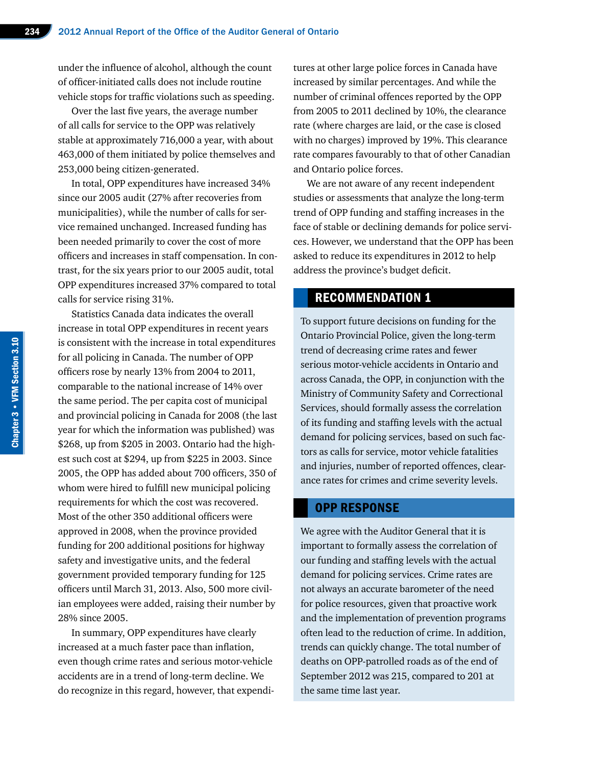under the influence of alcohol, although the count of officer-initiated calls does not include routine vehicle stops for traffic violations such as speeding.

Over the last five years, the average number of all calls for service to the OPP was relatively stable at approximately 716,000 a year, with about 463,000 of them initiated by police themselves and 253,000 being citizen-generated.

In total, OPP expenditures have increased 34% since our 2005 audit (27% after recoveries from municipalities), while the number of calls for service remained unchanged. Increased funding has been needed primarily to cover the cost of more officers and increases in staff compensation. In contrast, for the six years prior to our 2005 audit, total OPP expenditures increased 37% compared to total calls for service rising 31%.

Statistics Canada data indicates the overall increase in total OPP expenditures in recent years is consistent with the increase in total expenditures for all policing in Canada. The number of OPP officers rose by nearly 13% from 2004 to 2011, comparable to the national increase of 14% over the same period. The per capita cost of municipal and provincial policing in Canada for 2008 (the last year for which the information was published) was \$268, up from \$205 in 2003. Ontario had the highest such cost at \$294, up from \$225 in 2003. Since 2005, the OPP has added about 700 officers, 350 of whom were hired to fulfill new municipal policing requirements for which the cost was recovered. Most of the other 350 additional officers were approved in 2008, when the province provided funding for 200 additional positions for highway safety and investigative units, and the federal government provided temporary funding for 125 officers until March 31, 2013. Also, 500 more civilian employees were added, raising their number by 28% since 2005.

In summary, OPP expenditures have clearly increased at a much faster pace than inflation, even though crime rates and serious motor-vehicle accidents are in a trend of long-term decline. We do recognize in this regard, however, that expenditures at other large police forces in Canada have increased by similar percentages. And while the number of criminal offences reported by the OPP from 2005 to 2011 declined by 10%, the clearance rate (where charges are laid, or the case is closed with no charges) improved by 19%. This clearance rate compares favourably to that of other Canadian and Ontario police forces.

We are not aware of any recent independent studies or assessments that analyze the long-term trend of OPP funding and staffing increases in the face of stable or declining demands for police services. However, we understand that the OPP has been asked to reduce its expenditures in 2012 to help address the province's budget deficit.

#### RECOMMENDATION 1

To support future decisions on funding for the Ontario Provincial Police, given the long-term trend of decreasing crime rates and fewer serious motor-vehicle accidents in Ontario and across Canada, the OPP, in conjunction with the Ministry of Community Safety and Correctional Services, should formally assess the correlation of its funding and staffing levels with the actual demand for policing services, based on such factors as calls for service, motor vehicle fatalities and injuries, number of reported offences, clearance rates for crimes and crime severity levels.

#### OPP RESPONSE

We agree with the Auditor General that it is important to formally assess the correlation of our funding and staffing levels with the actual demand for policing services. Crime rates are not always an accurate barometer of the need for police resources, given that proactive work and the implementation of prevention programs often lead to the reduction of crime. In addition, trends can quickly change. The total number of deaths on OPP-patrolled roads as of the end of September 2012 was 215, compared to 201 at the same time last year.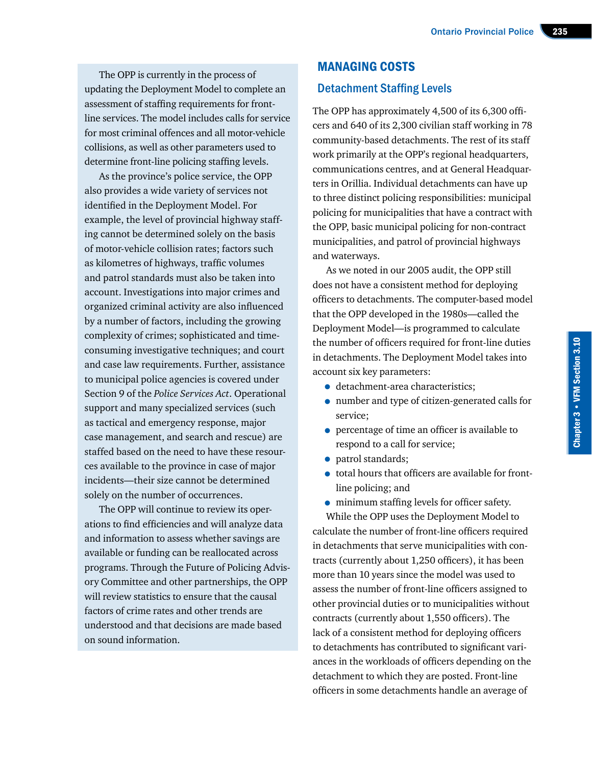The OPP is currently in the process of updating the Deployment Model to complete an assessment of staffing requirements for frontline services. The model includes calls for service for most criminal offences and all motor-vehicle collisions, as well as other parameters used to determine front-line policing staffing levels.

As the province's police service, the OPP also provides a wide variety of services not identified in the Deployment Model. For example, the level of provincial highway staffing cannot be determined solely on the basis of motor-vehicle collision rates; factors such as kilometres of highways, traffic volumes and patrol standards must also be taken into account. Investigations into major crimes and organized criminal activity are also influenced by a number of factors, including the growing complexity of crimes; sophisticated and timeconsuming investigative techniques; and court and case law requirements. Further, assistance to municipal police agencies is covered under Section 9 of the *Police Services Act*. Operational support and many specialized services (such as tactical and emergency response, major case management, and search and rescue) are staffed based on the need to have these resources available to the province in case of major incidents—their size cannot be determined solely on the number of occurrences.

The OPP will continue to review its operations to find efficiencies and will analyze data and information to assess whether savings are available or funding can be reallocated across programs. Through the Future of Policing Advisory Committee and other partnerships, the OPP will review statistics to ensure that the causal factors of crime rates and other trends are understood and that decisions are made based on sound information.

## MANAGING COSTS Detachment Staffing Levels

The OPP has approximately 4,500 of its 6,300 officers and 640 of its 2,300 civilian staff working in 78 community-based detachments. The rest of its staff work primarily at the OPP's regional headquarters, communications centres, and at General Headquarters in Orillia. Individual detachments can have up to three distinct policing responsibilities: municipal policing for municipalities that have a contract with the OPP, basic municipal policing for non-contract municipalities, and patrol of provincial highways and waterways.

As we noted in our 2005 audit, the OPP still does not have a consistent method for deploying officers to detachments. The computer-based model that the OPP developed in the 1980s—called the Deployment Model—is programmed to calculate the number of officers required for front-line duties in detachments. The Deployment Model takes into account six key parameters:

- detachment-area characteristics;
- number and type of citizen-generated calls for service;
- percentage of time an officer is available to respond to a call for service;
- patrol standards:
- total hours that officers are available for frontline policing; and
- minimum staffing levels for officer safety. While the OPP uses the Deployment Model to

calculate the number of front-line officers required in detachments that serve municipalities with contracts (currently about 1,250 officers), it has been more than 10 years since the model was used to assess the number of front-line officers assigned to other provincial duties or to municipalities without contracts (currently about 1,550 officers). The lack of a consistent method for deploying officers to detachments has contributed to significant variances in the workloads of officers depending on the detachment to which they are posted. Front-line officers in some detachments handle an average of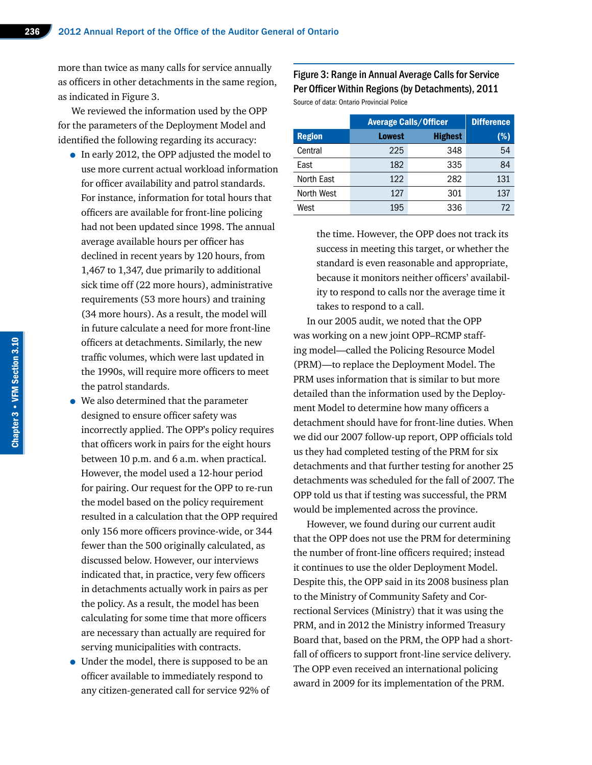more than twice as many calls for service annually as officers in other detachments in the same region, as indicated in Figure 3.

We reviewed the information used by the OPP for the parameters of the Deployment Model and identified the following regarding its accuracy:

- In early 2012, the OPP adjusted the model to use more current actual workload information for officer availability and patrol standards. For instance, information for total hours that officers are available for front-line policing had not been updated since 1998. The annual average available hours per officer has declined in recent years by 120 hours, from 1,467 to 1,347, due primarily to additional sick time off (22 more hours), administrative requirements (53 more hours) and training (34 more hours). As a result, the model will in future calculate a need for more front-line officers at detachments. Similarly, the new traffic volumes, which were last updated in the 1990s, will require more officers to meet the patrol standards.
- We also determined that the parameter designed to ensure officer safety was incorrectly applied. The OPP's policy requires that officers work in pairs for the eight hours between 10 p.m. and 6 a.m. when practical. However, the model used a 12-hour period for pairing. Our request for the OPP to re-run the model based on the policy requirement resulted in a calculation that the OPP required only 156 more officers province-wide, or 344 fewer than the 500 originally calculated, as discussed below. However, our interviews indicated that, in practice, very few officers in detachments actually work in pairs as per the policy. As a result, the model has been calculating for some time that more officers are necessary than actually are required for serving municipalities with contracts.
- Under the model, there is supposed to be an officer available to immediately respond to any citizen-generated call for service 92% of

#### Figure 3: Range in Annual Average Calls for Service Per Officer Within Regions (by Detachments), 2011

Source of data: Ontario Provincial Police

|               | <b>Average Calls/Officer</b> | <b>Difference</b> |     |
|---------------|------------------------------|-------------------|-----|
| <b>Region</b> | <b>Lowest</b>                | <b>Highest</b>    | (%) |
| Central       | 225                          | 348               | 54  |
| East          | 182                          | 335               | 84  |
| North East    | 122                          | 282               | 131 |
| North West    | 127                          | 301               | 137 |
| West          | 195                          | 336               | 72  |

the time. However, the OPP does not track its success in meeting this target, or whether the standard is even reasonable and appropriate, because it monitors neither officers' availability to respond to calls nor the average time it takes to respond to a call.

In our 2005 audit, we noted that the OPP was working on a new joint OPP–RCMP staffing model—called the Policing Resource Model (PRM)—to replace the Deployment Model. The PRM uses information that is similar to but more detailed than the information used by the Deployment Model to determine how many officers a detachment should have for front-line duties. When we did our 2007 follow-up report, OPP officials told us they had completed testing of the PRM for six detachments and that further testing for another 25 detachments was scheduled for the fall of 2007. The OPP told us that if testing was successful, the PRM would be implemented across the province.

However, we found during our current audit that the OPP does not use the PRM for determining the number of front-line officers required; instead it continues to use the older Deployment Model. Despite this, the OPP said in its 2008 business plan to the Ministry of Community Safety and Correctional Services (Ministry) that it was using the PRM, and in 2012 the Ministry informed Treasury Board that, based on the PRM, the OPP had a shortfall of officers to support front-line service delivery. The OPP even received an international policing award in 2009 for its implementation of the PRM.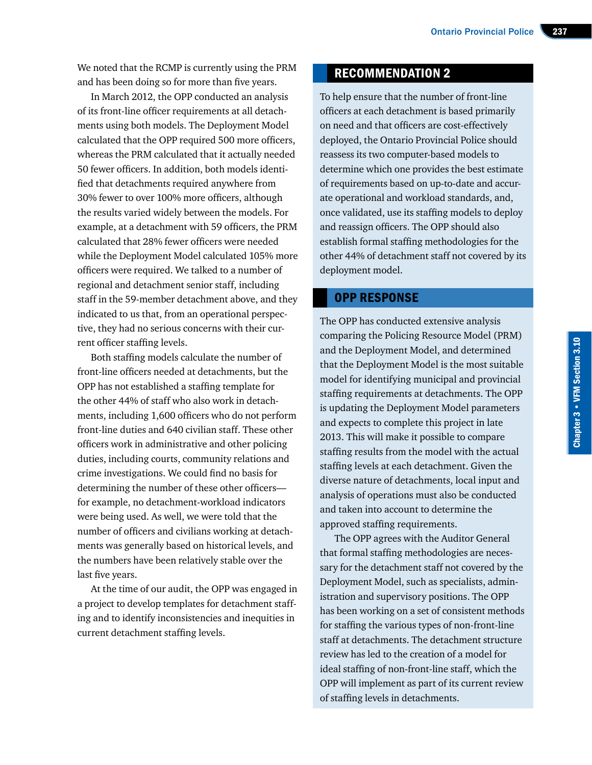We noted that the RCMP is currently using the PRM and has been doing so for more than five years.

In March 2012, the OPP conducted an analysis of its front-line officer requirements at all detachments using both models. The Deployment Model calculated that the OPP required 500 more officers, whereas the PRM calculated that it actually needed 50 fewer officers. In addition, both models identified that detachments required anywhere from 30% fewer to over 100% more officers, although the results varied widely between the models. For example, at a detachment with 59 officers, the PRM calculated that 28% fewer officers were needed while the Deployment Model calculated 105% more officers were required. We talked to a number of regional and detachment senior staff, including staff in the 59-member detachment above, and they indicated to us that, from an operational perspective, they had no serious concerns with their current officer staffing levels.

Both staffing models calculate the number of front-line officers needed at detachments, but the OPP has not established a staffing template for the other 44% of staff who also work in detachments, including 1,600 officers who do not perform front-line duties and 640 civilian staff. These other officers work in administrative and other policing duties, including courts, community relations and crime investigations. We could find no basis for determining the number of these other officers for example, no detachment-workload indicators were being used. As well, we were told that the number of officers and civilians working at detachments was generally based on historical levels, and the numbers have been relatively stable over the last five years.

At the time of our audit, the OPP was engaged in a project to develop templates for detachment staffing and to identify inconsistencies and inequities in current detachment staffing levels.

#### RECOMMENDATION 2

To help ensure that the number of front-line officers at each detachment is based primarily on need and that officers are cost-effectively deployed, the Ontario Provincial Police should reassess its two computer-based models to determine which one provides the best estimate of requirements based on up-to-date and accurate operational and workload standards, and, once validated, use its staffing models to deploy and reassign officers. The OPP should also establish formal staffing methodologies for the other 44% of detachment staff not covered by its deployment model.

#### OPP RESPONSE

The OPP has conducted extensive analysis comparing the Policing Resource Model (PRM) and the Deployment Model, and determined that the Deployment Model is the most suitable model for identifying municipal and provincial staffing requirements at detachments. The OPP is updating the Deployment Model parameters and expects to complete this project in late 2013. This will make it possible to compare staffing results from the model with the actual staffing levels at each detachment. Given the diverse nature of detachments, local input and analysis of operations must also be conducted and taken into account to determine the approved staffing requirements.

The OPP agrees with the Auditor General that formal staffing methodologies are necessary for the detachment staff not covered by the Deployment Model, such as specialists, administration and supervisory positions. The OPP has been working on a set of consistent methods for staffing the various types of non-front-line staff at detachments. The detachment structure review has led to the creation of a model for ideal staffing of non-front-line staff, which the OPP will implement as part of its current review of staffing levels in detachments.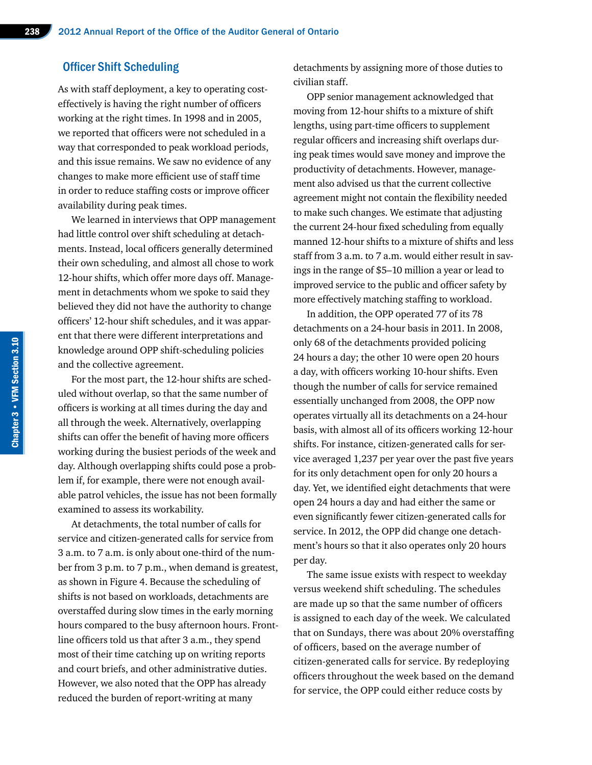#### Officer Shift Scheduling

As with staff deployment, a key to operating costeffectively is having the right number of officers working at the right times. In 1998 and in 2005, we reported that officers were not scheduled in a way that corresponded to peak workload periods, and this issue remains. We saw no evidence of any changes to make more efficient use of staff time in order to reduce staffing costs or improve officer availability during peak times.

We learned in interviews that OPP management had little control over shift scheduling at detachments. Instead, local officers generally determined their own scheduling, and almost all chose to work 12-hour shifts, which offer more days off. Management in detachments whom we spoke to said they believed they did not have the authority to change officers' 12-hour shift schedules, and it was apparent that there were different interpretations and knowledge around OPP shift-scheduling policies and the collective agreement.

For the most part, the 12-hour shifts are scheduled without overlap, so that the same number of officers is working at all times during the day and all through the week. Alternatively, overlapping shifts can offer the benefit of having more officers working during the busiest periods of the week and day. Although overlapping shifts could pose a problem if, for example, there were not enough available patrol vehicles, the issue has not been formally examined to assess its workability.

At detachments, the total number of calls for service and citizen-generated calls for service from 3 a.m. to 7 a.m. is only about one-third of the number from 3 p.m. to 7 p.m., when demand is greatest, as shown in Figure 4. Because the scheduling of shifts is not based on workloads, detachments are overstaffed during slow times in the early morning hours compared to the busy afternoon hours. Frontline officers told us that after 3 a.m., they spend most of their time catching up on writing reports and court briefs, and other administrative duties. However, we also noted that the OPP has already reduced the burden of report-writing at many

detachments by assigning more of those duties to civilian staff.

OPP senior management acknowledged that moving from 12-hour shifts to a mixture of shift lengths, using part-time officers to supplement regular officers and increasing shift overlaps during peak times would save money and improve the productivity of detachments. However, management also advised us that the current collective agreement might not contain the flexibility needed to make such changes. We estimate that adjusting the current 24-hour fixed scheduling from equally manned 12-hour shifts to a mixture of shifts and less staff from 3 a.m. to 7 a.m. would either result in savings in the range of \$5–10 million a year or lead to improved service to the public and officer safety by more effectively matching staffing to workload.

In addition, the OPP operated 77 of its 78 detachments on a 24-hour basis in 2011. In 2008, only 68 of the detachments provided policing 24 hours a day; the other 10 were open 20 hours a day, with officers working 10-hour shifts. Even though the number of calls for service remained essentially unchanged from 2008, the OPP now operates virtually all its detachments on a 24-hour basis, with almost all of its officers working 12-hour shifts. For instance, citizen-generated calls for service averaged 1,237 per year over the past five years for its only detachment open for only 20 hours a day. Yet, we identified eight detachments that were open 24 hours a day and had either the same or even significantly fewer citizen-generated calls for service. In 2012, the OPP did change one detachment's hours so that it also operates only 20 hours per day.

The same issue exists with respect to weekday versus weekend shift scheduling. The schedules are made up so that the same number of officers is assigned to each day of the week. We calculated that on Sundays, there was about 20% overstaffing of officers, based on the average number of citizen-generated calls for service. By redeploying officers throughout the week based on the demand for service, the OPP could either reduce costs by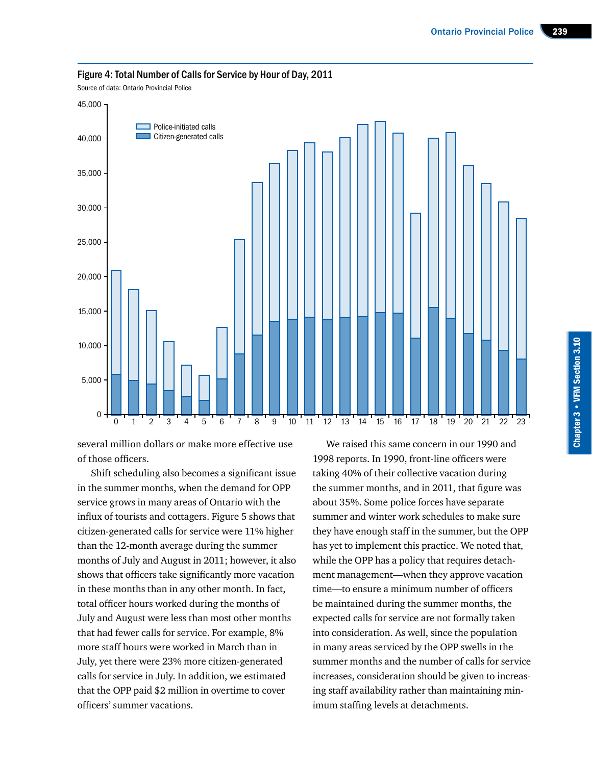

#### Figure 4: Total Number of Calls for Service by Hour of Day, 2011

Source of data: Ontario Provincial Police

several million dollars or make more effective use of those officers.

Shift scheduling also becomes a significant issue in the summer months, when the demand for OPP service grows in many areas of Ontario with the influx of tourists and cottagers. Figure 5 shows that citizen-generated calls for service were 11% higher than the 12-month average during the summer months of July and August in 2011; however, it also shows that officers take significantly more vacation in these months than in any other month. In fact, total officer hours worked during the months of July and August were less than most other months that had fewer calls for service. For example, 8% more staff hours were worked in March than in July, yet there were 23% more citizen-generated calls for service in July. In addition, we estimated that the OPP paid \$2 million in overtime to cover officers' summer vacations.

We raised this same concern in our 1990 and 1998 reports. In 1990, front-line officers were taking 40% of their collective vacation during the summer months, and in 2011, that figure was about 35%. Some police forces have separate summer and winter work schedules to make sure they have enough staff in the summer, but the OPP has yet to implement this practice. We noted that, while the OPP has a policy that requires detachment management—when they approve vacation time—to ensure a minimum number of officers be maintained during the summer months, the expected calls for service are not formally taken into consideration. As well, since the population in many areas serviced by the OPP swells in the summer months and the number of calls for service increases, consideration should be given to increasing staff availability rather than maintaining minimum staffing levels at detachments.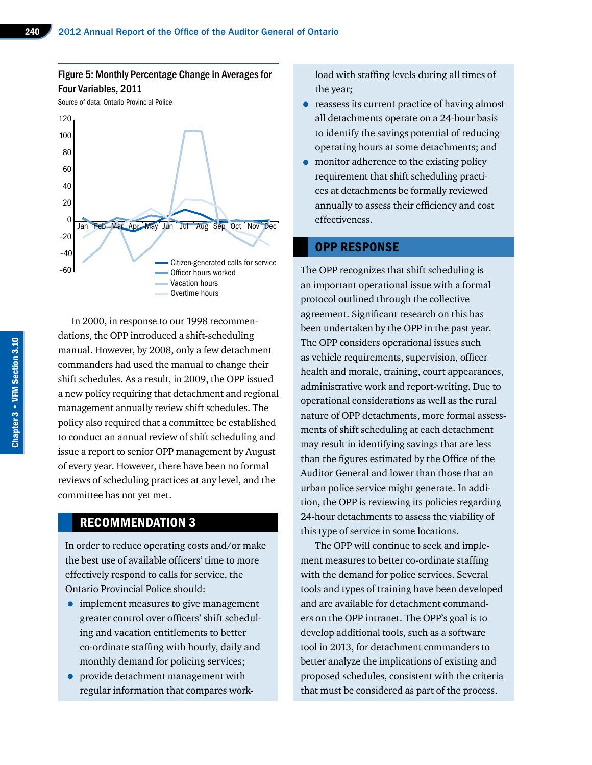#### Figure 5: Monthly Percentage Change in Averages for Four Variables, 2011

Source of data: Ontario Provincial Police



In 2000, in response to our 1998 recommendations, the OPP introduced a shift-scheduling manual. However, by 2008, only a few detachment commanders had used the manual to change their shift schedules. As a result, in 2009, the OPP issued a new policy requiring that detachment and regional management annually review shift schedules. The policy also required that a committee be established to conduct an annual review of shift scheduling and issue a report to senior OPP management by August of every year. However, there have been no formal reviews of scheduling practices at any level, and the committee has not yet met.

### RECOMMENDATION 3

In order to reduce operating costs and/or make the best use of available officers' time to more effectively respond to calls for service, the Ontario Provincial Police should:

- implement measures to give management greater control over officers' shift scheduling and vacation entitlements to better co-ordinate staffing with hourly, daily and monthly demand for policing services;
- provide detachment management with regular information that compares work-

load with staffing levels during all times of the year;

- reassess its current practice of having almost all detachments operate on a 24-hour basis to identify the savings potential of reducing operating hours at some detachments; and
- monitor adherence to the existing policy requirement that shift scheduling practices at detachments be formally reviewed annually to assess their efficiency and cost effectiveness.

#### OPP RESPONSE

The OPP recognizes that shift scheduling is an important operational issue with a formal protocol outlined through the collective agreement. Significant research on this has been undertaken by the OPP in the past year. The OPP considers operational issues such as vehicle requirements, supervision, officer health and morale, training, court appearances, administrative work and report-writing. Due to operational considerations as well as the rural nature of OPP detachments, more formal assessments of shift scheduling at each detachment may result in identifying savings that are less than the figures estimated by the Office of the Auditor General and lower than those that an urban police service might generate. In addition, the OPP is reviewing its policies regarding 24-hour detachments to assess the viability of this type of service in some locations.

The OPP will continue to seek and implement measures to better co-ordinate staffing with the demand for police services. Several tools and types of training have been developed and are available for detachment commanders on the OPP intranet. The OPP's goal is to develop additional tools, such as a software tool in 2013, for detachment commanders to better analyze the implications of existing and proposed schedules, consistent with the criteria that must be considered as part of the process.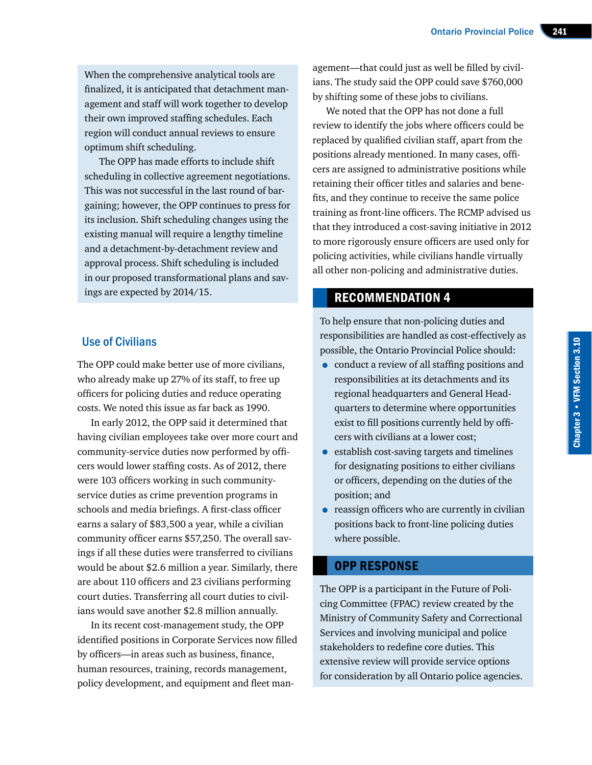When the comprehensive analytical tools are finalized, it is anticipated that detachment management and staff will work together to develop their own improved staffing schedules. Each region will conduct annual reviews to ensure optimum shift scheduling.

The OPP has made efforts to include shift scheduling in collective agreement negotiations. This was not successful in the last round of bargaining; however, the OPP continues to press for its inclusion. Shift scheduling changes using the existing manual will require a lengthy timeline and a detachment-by-detachment review and approval process. Shift scheduling is included in our proposed transformational plans and savings are expected by 2014/15.

#### Use of Civilians

The OPP could make better use of more civilians, who already make up 27% of its staff, to free up officers for policing duties and reduce operating costs. We noted this issue as far back as 1990.

In early 2012, the OPP said it determined that having civilian employees take over more court and community-service duties now performed by officers would lower staffing costs. As of 2012, there were 103 officers working in such communityservice duties as crime prevention programs in schools and media briefings. A first-class officer earns a salary of \$83,500 a year, while a civilian community officer earns \$57,250. The overall savings if all these duties were transferred to civilians would be about \$2.6 million a year. Similarly, there are about 110 officers and 23 civilians performing court duties. Transferring all court duties to civilians would save another \$2.8 million annually.

In its recent cost-management study, the OPP identified positions in Corporate Services now filled by officers—in areas such as business, finance, human resources, training, records management, policy development, and equipment and fleet man-

agement—that could just as well be filled by civilians. The study said the OPP could save \$760,000 by shifting some of these jobs to civilians.

We noted that the OPP has not done a full review to identify the jobs where officers could be replaced by qualified civilian staff, apart from the positions already mentioned. In many cases, officers are assigned to administrative positions while retaining their officer titles and salaries and benefits, and they continue to receive the same police training as front-line officers. The RCMP advised us that they introduced a cost-saving initiative in 2012 to more rigorously ensure officers are used only for policing activities, while civilians handle virtually all other non-policing and administrative duties.

To help ensure that non-policing duties and responsibilities are handled as cost-effectively as possible, the Ontario Provincial Police should:

- conduct a review of all staffing positions and responsibilities at its detachments and its regional headquarters and General Headquarters to determine where opportunities exist to fill positions currently held by officers with civilians at a lower cost;
- establish cost-saving targets and timelines for designating positions to either civilians or officers, depending on the duties of the position; and
- reassign officers who are currently in civilian positions back to front-line policing duties where possible.

#### OPP RESPONSE

The OPP is a participant in the Future of Policing Committee (FPAC) review created by the Ministry of Community Safety and Correctional Services and involving municipal and police stakeholders to redefine core duties. This extensive review will provide service options for consideration by all Ontario police agencies.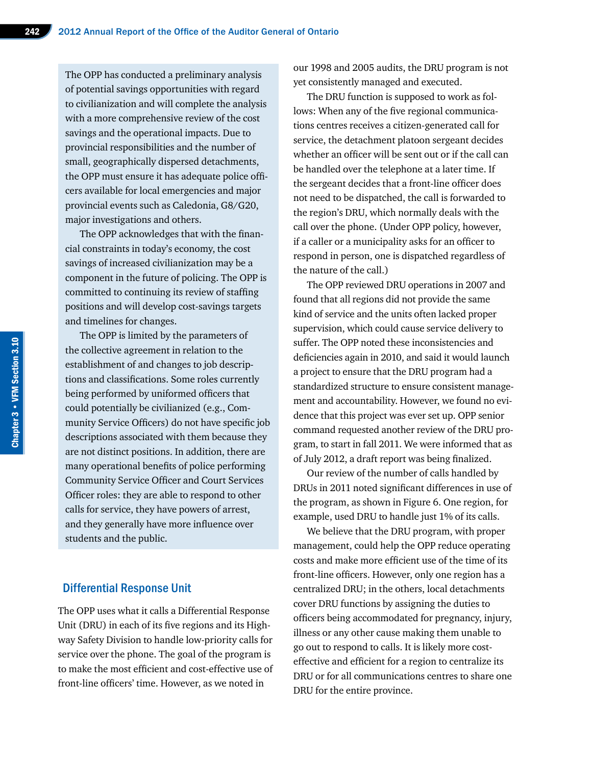The OPP has conducted a preliminary analysis of potential savings opportunities with regard to civilianization and will complete the analysis with a more comprehensive review of the cost savings and the operational impacts. Due to provincial responsibilities and the number of small, geographically dispersed detachments, the OPP must ensure it has adequate police officers available for local emergencies and major provincial events such as Caledonia, G8/G20, major investigations and others.

The OPP acknowledges that with the financial constraints in today's economy, the cost savings of increased civilianization may be a component in the future of policing. The OPP is committed to continuing its review of staffing positions and will develop cost-savings targets and timelines for changes.

The OPP is limited by the parameters of the collective agreement in relation to the establishment of and changes to job descriptions and classifications. Some roles currently being performed by uniformed officers that could potentially be civilianized (e.g., Community Service Officers) do not have specific job descriptions associated with them because they are not distinct positions. In addition, there are many operational benefits of police performing Community Service Officer and Court Services Officer roles: they are able to respond to other calls for service, they have powers of arrest, and they generally have more influence over students and the public.

#### Differential Response Unit

The OPP uses what it calls a Differential Response Unit (DRU) in each of its five regions and its Highway Safety Division to handle low-priority calls for service over the phone. The goal of the program is to make the most efficient and cost-effective use of front-line officers' time. However, as we noted in

our 1998 and 2005 audits, the DRU program is not yet consistently managed and executed.

The DRU function is supposed to work as follows: When any of the five regional communications centres receives a citizen-generated call for service, the detachment platoon sergeant decides whether an officer will be sent out or if the call can be handled over the telephone at a later time. If the sergeant decides that a front-line officer does not need to be dispatched, the call is forwarded to the region's DRU, which normally deals with the call over the phone. (Under OPP policy, however, if a caller or a municipality asks for an officer to respond in person, one is dispatched regardless of the nature of the call.)

The OPP reviewed DRU operations in 2007 and found that all regions did not provide the same kind of service and the units often lacked proper supervision, which could cause service delivery to suffer. The OPP noted these inconsistencies and deficiencies again in 2010, and said it would launch a project to ensure that the DRU program had a standardized structure to ensure consistent management and accountability. However, we found no evidence that this project was ever set up. OPP senior command requested another review of the DRU program, to start in fall 2011. We were informed that as of July 2012, a draft report was being finalized.

Our review of the number of calls handled by DRUs in 2011 noted significant differences in use of the program, as shown in Figure 6. One region, for example, used DRU to handle just 1% of its calls.

We believe that the DRU program, with proper management, could help the OPP reduce operating costs and make more efficient use of the time of its front-line officers. However, only one region has a centralized DRU; in the others, local detachments cover DRU functions by assigning the duties to officers being accommodated for pregnancy, injury, illness or any other cause making them unable to go out to respond to calls. It is likely more costeffective and efficient for a region to centralize its DRU or for all communications centres to share one DRU for the entire province.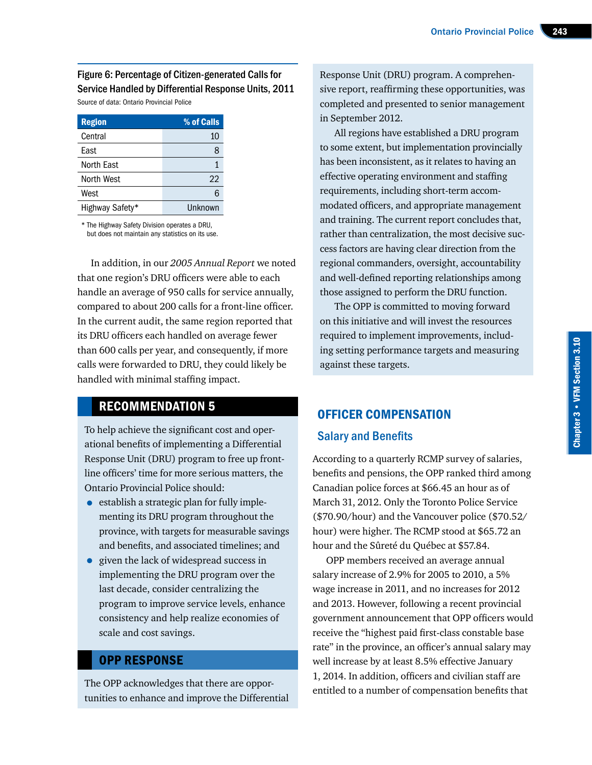Figure 6: Percentage of Citizen-generated Calls for Service Handled by Differential Response Units, 2011

Source of data: Ontario Provincial Police

| <b>Region</b>   | % of Calls |
|-----------------|------------|
| Central         | 10         |
| Fast            | 8          |
| North East      |            |
| North West      | 22         |
| West            | h          |
| Highway Safety* | Unknown    |

\* The Highway Safety Division operates a DRU, but does not maintain any statistics on its use.

In addition, in our *2005 Annual Report* we noted that one region's DRU officers were able to each handle an average of 950 calls for service annually, compared to about 200 calls for a front-line officer. In the current audit, the same region reported that its DRU officers each handled on average fewer than 600 calls per year, and consequently, if more calls were forwarded to DRU, they could likely be handled with minimal staffing impact.

#### RECOMMENDATION 5

To help achieve the significant cost and operational benefits of implementing a Differential Response Unit (DRU) program to free up frontline officers' time for more serious matters, the Ontario Provincial Police should:

- establish a strategic plan for fully implementing its DRU program throughout the province, with targets for measurable savings and benefits, and associated timelines; and
- given the lack of widespread success in implementing the DRU program over the last decade, consider centralizing the program to improve service levels, enhance consistency and help realize economies of scale and cost savings.

#### OPP RESPONSE

The OPP acknowledges that there are opportunities to enhance and improve the Differential Response Unit (DRU) program. A comprehensive report, reaffirming these opportunities, was completed and presented to senior management in September 2012.

All regions have established a DRU program to some extent, but implementation provincially has been inconsistent, as it relates to having an effective operating environment and staffing requirements, including short-term accommodated officers, and appropriate management and training. The current report concludes that, rather than centralization, the most decisive success factors are having clear direction from the regional commanders, oversight, accountability and well-defined reporting relationships among those assigned to perform the DRU function.

The OPP is committed to moving forward on this initiative and will invest the resources required to implement improvements, including setting performance targets and measuring against these targets.

### OFFICER COMPENSATION

#### Salary and Benefits

According to a quarterly RCMP survey of salaries, benefits and pensions, the OPP ranked third among Canadian police forces at \$66.45 an hour as of March 31, 2012. Only the Toronto Police Service (\$70.90/hour) and the Vancouver police (\$70.52/ hour) were higher. The RCMP stood at \$65.72 an hour and the Sûreté du Québec at \$57.84.

OPP members received an average annual salary increase of 2.9% for 2005 to 2010, a 5% wage increase in 2011, and no increases for 2012 and 2013. However, following a recent provincial government announcement that OPP officers would receive the "highest paid first-class constable base rate" in the province, an officer's annual salary may well increase by at least 8.5% effective January 1, 2014. In addition, officers and civilian staff are entitled to a number of compensation benefits that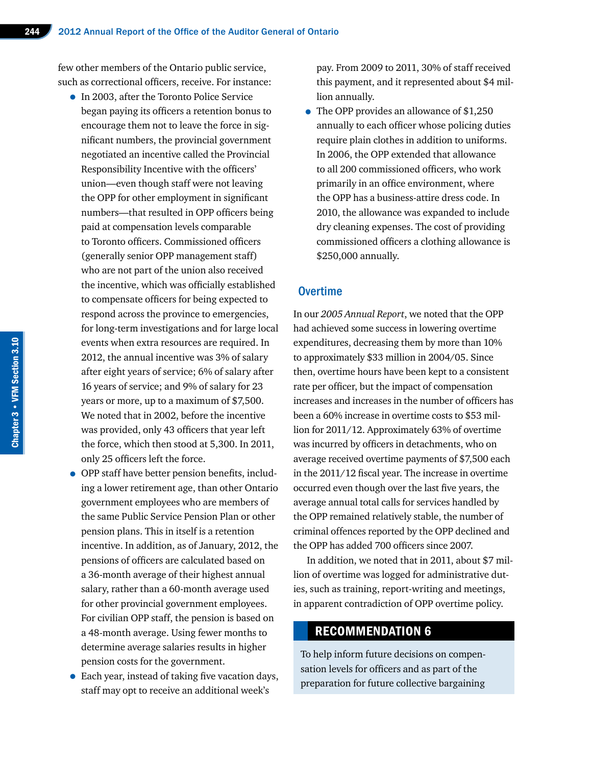few other members of the Ontario public service, such as correctional officers, receive. For instance:

- In 2003, after the Toronto Police Service began paying its officers a retention bonus to encourage them not to leave the force in significant numbers, the provincial government negotiated an incentive called the Provincial Responsibility Incentive with the officers' union—even though staff were not leaving the OPP for other employment in significant numbers—that resulted in OPP officers being paid at compensation levels comparable to Toronto officers. Commissioned officers (generally senior OPP management staff) who are not part of the union also received the incentive, which was officially established to compensate officers for being expected to respond across the province to emergencies, for long-term investigations and for large local events when extra resources are required. In 2012, the annual incentive was 3% of salary after eight years of service; 6% of salary after 16 years of service; and 9% of salary for 23 years or more, up to a maximum of \$7,500. We noted that in 2002, before the incentive was provided, only 43 officers that year left the force, which then stood at 5,300. In 2011, only 25 officers left the force.
- OPP staff have better pension benefits, including a lower retirement age, than other Ontario government employees who are members of the same Public Service Pension Plan or other pension plans. This in itself is a retention incentive. In addition, as of January, 2012, the pensions of officers are calculated based on a 36-month average of their highest annual salary, rather than a 60-month average used for other provincial government employees. For civilian OPP staff, the pension is based on a 48-month average. Using fewer months to determine average salaries results in higher pension costs for the government.
- Each year, instead of taking five vacation days, staff may opt to receive an additional week's

pay. From 2009 to 2011, 30% of staff received this payment, and it represented about \$4 million annually.

• The OPP provides an allowance of \$1,250 annually to each officer whose policing duties require plain clothes in addition to uniforms. In 2006, the OPP extended that allowance to all 200 commissioned officers, who work primarily in an office environment, where the OPP has a business-attire dress code. In 2010, the allowance was expanded to include dry cleaning expenses. The cost of providing commissioned officers a clothing allowance is \$250,000 annually.

#### **Overtime**

In our *2005 Annual Report*, we noted that the OPP had achieved some success in lowering overtime expenditures, decreasing them by more than 10% to approximately \$33 million in 2004/05. Since then, overtime hours have been kept to a consistent rate per officer, but the impact of compensation increases and increases in the number of officers has been a 60% increase in overtime costs to \$53 million for 2011/12. Approximately 63% of overtime was incurred by officers in detachments, who on average received overtime payments of \$7,500 each in the 2011/12 fiscal year. The increase in overtime occurred even though over the last five years, the average annual total calls for services handled by the OPP remained relatively stable, the number of criminal offences reported by the OPP declined and the OPP has added 700 officers since 2007.

In addition, we noted that in 2011, about \$7 million of overtime was logged for administrative duties, such as training, report-writing and meetings, in apparent contradiction of OPP overtime policy.

#### RECOMMENDATION 6

To help inform future decisions on compensation levels for officers and as part of the preparation for future collective bargaining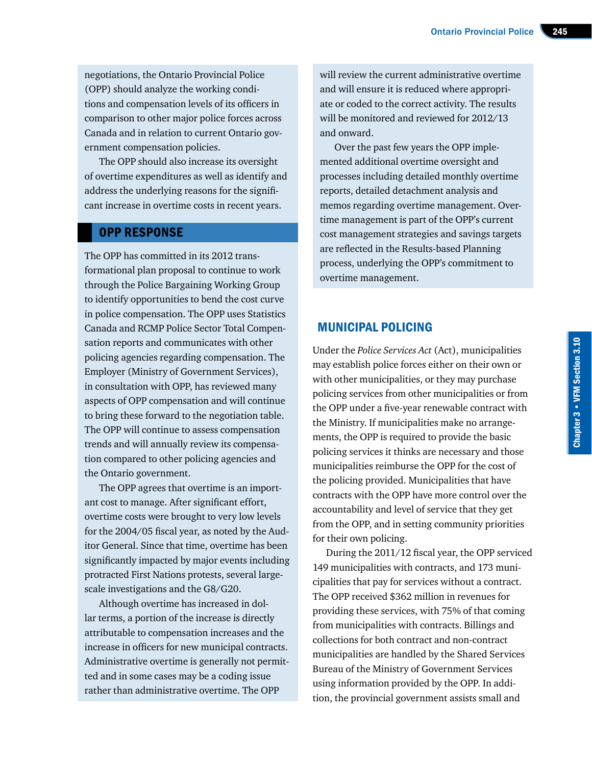negotiations, the Ontario Provincial Police (OPP) should analyze the working conditions and compensation levels of its officers in comparison to other major police forces across Canada and in relation to current Ontario government compensation policies.

The OPP should also increase its oversight of overtime expenditures as well as identify and address the underlying reasons for the significant increase in overtime costs in recent years.

#### OPP RESPONSE

The OPP has committed in its 2012 transformational plan proposal to continue to work through the Police Bargaining Working Group to identify opportunities to bend the cost curve in police compensation. The OPP uses Statistics Canada and RCMP Police Sector Total Compensation reports and communicates with other policing agencies regarding compensation. The Employer (Ministry of Government Services), in consultation with OPP, has reviewed many aspects of OPP compensation and will continue to bring these forward to the negotiation table. The OPP will continue to assess compensation trends and will annually review its compensation compared to other policing agencies and the Ontario government.

The OPP agrees that overtime is an important cost to manage. After significant effort, overtime costs were brought to very low levels for the 2004/05 fiscal year, as noted by the Auditor General. Since that time, overtime has been significantly impacted by major events including protracted First Nations protests, several largescale investigations and the G8/G20.

Although overtime has increased in dollar terms, a portion of the increase is directly attributable to compensation increases and the increase in officers for new municipal contracts. Administrative overtime is generally not permitted and in some cases may be a coding issue rather than administrative overtime. The OPP

will review the current administrative overtime and will ensure it is reduced where appropriate or coded to the correct activity. The results will be monitored and reviewed for 2012/13 and onward.

Over the past few years the OPP implemented additional overtime oversight and processes including detailed monthly overtime reports, detailed detachment analysis and memos regarding overtime management. Overtime management is part of the OPP's current cost management strategies and savings targets are reflected in the Results-based Planning process, underlying the OPP's commitment to overtime management.

#### MUNICIPAL POLICING

Under the *Police Services Act* (Act), municipalities may establish police forces either on their own or with other municipalities, or they may purchase policing services from other municipalities or from the OPP under a five-year renewable contract with the Ministry. If municipalities make no arrangements, the OPP is required to provide the basic policing services it thinks are necessary and those municipalities reimburse the OPP for the cost of the policing provided. Municipalities that have contracts with the OPP have more control over the accountability and level of service that they get from the OPP, and in setting community priorities for their own policing.

During the 2011/12 fiscal year, the OPP serviced 149 municipalities with contracts, and 173 municipalities that pay for services without a contract. The OPP received \$362 million in revenues for providing these services, with 75% of that coming from municipalities with contracts. Billings and collections for both contract and non-contract municipalities are handled by the Shared Services Bureau of the Ministry of Government Services using information provided by the OPP. In addition, the provincial government assists small and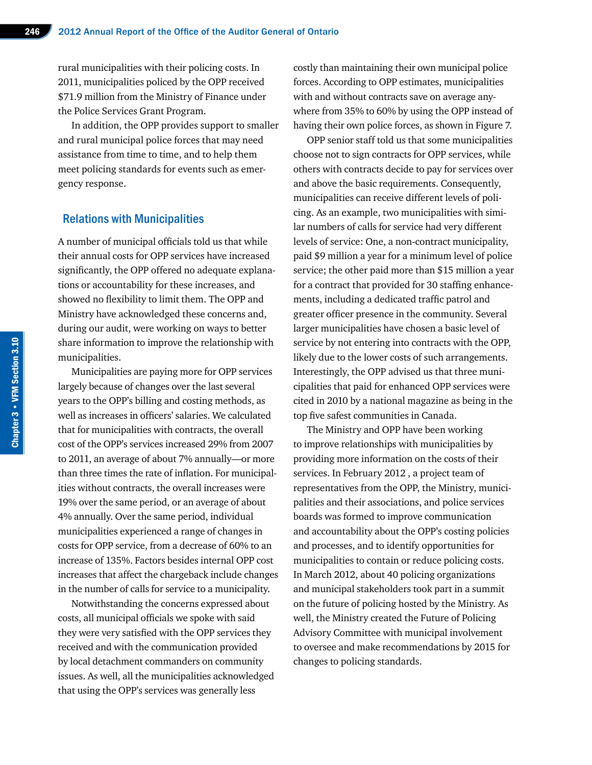rural municipalities with their policing costs. In 2011, municipalities policed by the OPP received \$71.9 million from the Ministry of Finance under the Police Services Grant Program.

In addition, the OPP provides support to smaller and rural municipal police forces that may need assistance from time to time, and to help them meet policing standards for events such as emergency response.

#### Relations with Municipalities

A number of municipal officials told us that while their annual costs for OPP services have increased significantly, the OPP offered no adequate explanations or accountability for these increases, and showed no flexibility to limit them. The OPP and Ministry have acknowledged these concerns and, during our audit, were working on ways to better share information to improve the relationship with municipalities.

Municipalities are paying more for OPP services largely because of changes over the last several years to the OPP's billing and costing methods, as well as increases in officers' salaries. We calculated that for municipalities with contracts, the overall cost of the OPP's services increased 29% from 2007 to 2011, an average of about 7% annually—or more than three times the rate of inflation. For municipalities without contracts, the overall increases were 19% over the same period, or an average of about 4% annually. Over the same period, individual municipalities experienced a range of changes in costs for OPP service, from a decrease of 60% to an increase of 135%. Factors besides internal OPP cost increases that affect the chargeback include changes in the number of calls for service to a municipality.

Notwithstanding the concerns expressed about costs, all municipal officials we spoke with said they were very satisfied with the OPP services they received and with the communication provided by local detachment commanders on community issues. As well, all the municipalities acknowledged that using the OPP's services was generally less

costly than maintaining their own municipal police forces. According to OPP estimates, municipalities with and without contracts save on average anywhere from 35% to 60% by using the OPP instead of having their own police forces, as shown in Figure 7.

OPP senior staff told us that some municipalities choose not to sign contracts for OPP services, while others with contracts decide to pay for services over and above the basic requirements. Consequently, municipalities can receive different levels of policing. As an example, two municipalities with similar numbers of calls for service had very different levels of service: One, a non-contract municipality, paid \$9 million a year for a minimum level of police service; the other paid more than \$15 million a year for a contract that provided for 30 staffing enhancements, including a dedicated traffic patrol and greater officer presence in the community. Several larger municipalities have chosen a basic level of service by not entering into contracts with the OPP, likely due to the lower costs of such arrangements. Interestingly, the OPP advised us that three municipalities that paid for enhanced OPP services were cited in 2010 by a national magazine as being in the top five safest communities in Canada.

The Ministry and OPP have been working to improve relationships with municipalities by providing more information on the costs of their services. In February 2012 , a project team of representatives from the OPP, the Ministry, municipalities and their associations, and police services boards was formed to improve communication and accountability about the OPP's costing policies and processes, and to identify opportunities for municipalities to contain or reduce policing costs. In March 2012, about 40 policing organizations and municipal stakeholders took part in a summit on the future of policing hosted by the Ministry. As well, the Ministry created the Future of Policing Advisory Committee with municipal involvement to oversee and make recommendations by 2015 for changes to policing standards.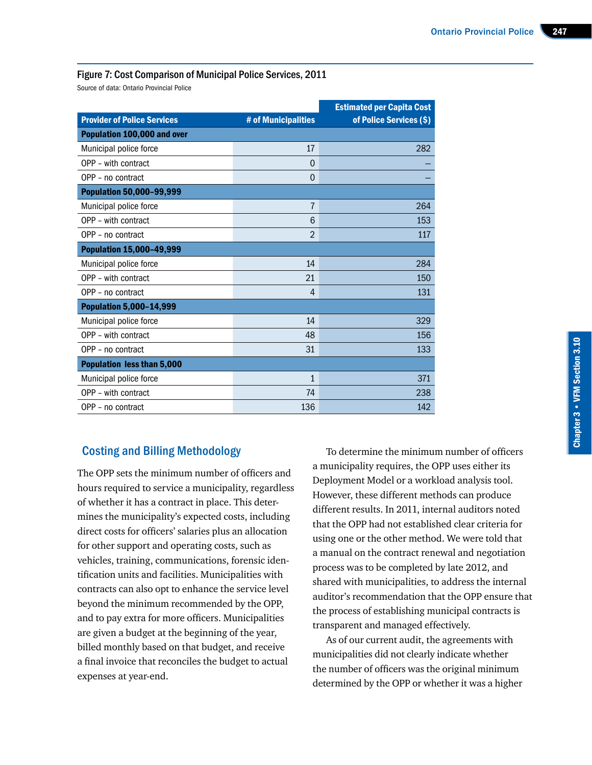#### Figure 7: Cost Comparison of Municipal Police Services, 2011

Source of data: Ontario Provincial Police

|                                    |                     | <b>Estimated per Capita Cost</b> |  |  |  |
|------------------------------------|---------------------|----------------------------------|--|--|--|
| <b>Provider of Police Services</b> | # of Municipalities | of Police Services (\$)          |  |  |  |
| Population 100,000 and over        |                     |                                  |  |  |  |
| Municipal police force             | 17                  | 282                              |  |  |  |
| OPP - with contract                | $\Omega$            |                                  |  |  |  |
| OPP - no contract                  | $\overline{0}$      |                                  |  |  |  |
| <b>Population 50,000-99,999</b>    |                     |                                  |  |  |  |
| Municipal police force             | 7                   | 264                              |  |  |  |
| OPP - with contract                | 6                   | 153                              |  |  |  |
| OPP - no contract                  | $\overline{2}$      | 117                              |  |  |  |
| <b>Population 15,000-49,999</b>    |                     |                                  |  |  |  |
| Municipal police force             | 14                  | 284                              |  |  |  |
| OPP - with contract                | 21                  | 150                              |  |  |  |
| OPP - no contract                  | $\overline{4}$      | 131                              |  |  |  |
| <b>Population 5,000-14,999</b>     |                     |                                  |  |  |  |
| Municipal police force             | 14                  | 329                              |  |  |  |
| OPP - with contract                | 48                  | 156                              |  |  |  |
| OPP - no contract                  | 31                  | 133                              |  |  |  |
| <b>Population less than 5,000</b>  |                     |                                  |  |  |  |
| Municipal police force             | 1                   | 371                              |  |  |  |
| OPP - with contract                | 74                  | 238                              |  |  |  |
| OPP - no contract                  | 136                 | 142                              |  |  |  |

#### Costing and Billing Methodology

The OPP sets the minimum number of officers and hours required to service a municipality, regardless of whether it has a contract in place. This determines the municipality's expected costs, including direct costs for officers' salaries plus an allocation for other support and operating costs, such as vehicles, training, communications, forensic identification units and facilities. Municipalities with contracts can also opt to enhance the service level beyond the minimum recommended by the OPP, and to pay extra for more officers. Municipalities are given a budget at the beginning of the year, billed monthly based on that budget, and receive a final invoice that reconciles the budget to actual expenses at year-end.

To determine the minimum number of officers a municipality requires, the OPP uses either its Deployment Model or a workload analysis tool. However, these different methods can produce different results. In 2011, internal auditors noted that the OPP had not established clear criteria for using one or the other method. We were told that a manual on the contract renewal and negotiation process was to be completed by late 2012, and shared with municipalities, to address the internal auditor's recommendation that the OPP ensure that the process of establishing municipal contracts is transparent and managed effectively.

As of our current audit, the agreements with municipalities did not clearly indicate whether the number of officers was the original minimum determined by the OPP or whether it was a higher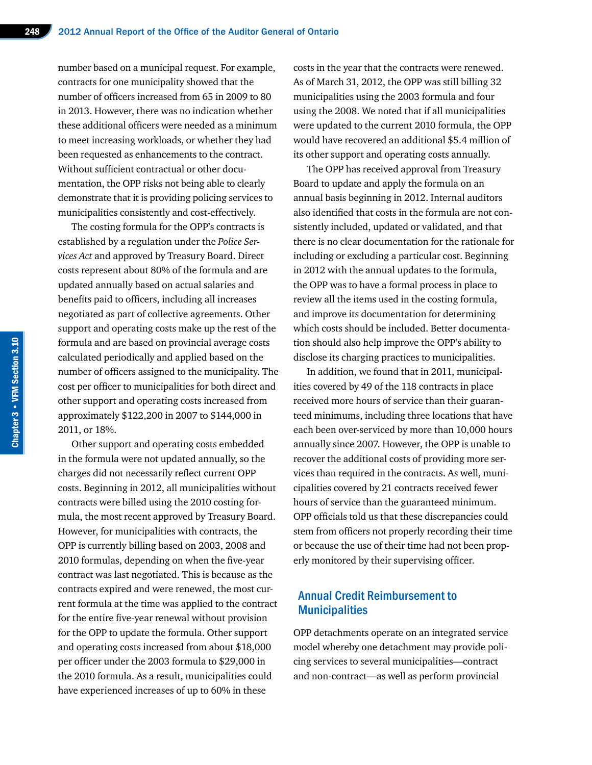number based on a municipal request. For example, contracts for one municipality showed that the number of officers increased from 65 in 2009 to 80 in 2013. However, there was no indication whether these additional officers were needed as a minimum to meet increasing workloads, or whether they had been requested as enhancements to the contract. Without sufficient contractual or other documentation, the OPP risks not being able to clearly demonstrate that it is providing policing services to municipalities consistently and cost-effectively.

The costing formula for the OPP's contracts is established by a regulation under the *Police Services Act* and approved by Treasury Board. Direct costs represent about 80% of the formula and are updated annually based on actual salaries and benefits paid to officers, including all increases negotiated as part of collective agreements. Other support and operating costs make up the rest of the formula and are based on provincial average costs calculated periodically and applied based on the number of officers assigned to the municipality. The cost per officer to municipalities for both direct and other support and operating costs increased from approximately \$122,200 in 2007 to \$144,000 in 2011, or 18%.

Other support and operating costs embedded in the formula were not updated annually, so the charges did not necessarily reflect current OPP costs. Beginning in 2012, all municipalities without contracts were billed using the 2010 costing formula, the most recent approved by Treasury Board. However, for municipalities with contracts, the OPP is currently billing based on 2003, 2008 and 2010 formulas, depending on when the five-year contract was last negotiated. This is because as the contracts expired and were renewed, the most current formula at the time was applied to the contract for the entire five-year renewal without provision for the OPP to update the formula. Other support and operating costs increased from about \$18,000 per officer under the 2003 formula to \$29,000 in the 2010 formula. As a result, municipalities could have experienced increases of up to 60% in these

costs in the year that the contracts were renewed. As of March 31, 2012, the OPP was still billing 32 municipalities using the 2003 formula and four using the 2008. We noted that if all municipalities were updated to the current 2010 formula, the OPP would have recovered an additional \$5.4 million of its other support and operating costs annually.

The OPP has received approval from Treasury Board to update and apply the formula on an annual basis beginning in 2012. Internal auditors also identified that costs in the formula are not consistently included, updated or validated, and that there is no clear documentation for the rationale for including or excluding a particular cost. Beginning in 2012 with the annual updates to the formula, the OPP was to have a formal process in place to review all the items used in the costing formula, and improve its documentation for determining which costs should be included. Better documentation should also help improve the OPP's ability to disclose its charging practices to municipalities.

In addition, we found that in 2011, municipalities covered by 49 of the 118 contracts in place received more hours of service than their guaranteed minimums, including three locations that have each been over-serviced by more than 10,000 hours annually since 2007. However, the OPP is unable to recover the additional costs of providing more services than required in the contracts. As well, municipalities covered by 21 contracts received fewer hours of service than the guaranteed minimum. OPP officials told us that these discrepancies could stem from officers not properly recording their time or because the use of their time had not been properly monitored by their supervising officer.

#### Annual Credit Reimbursement to **Municipalities**

OPP detachments operate on an integrated service model whereby one detachment may provide policing services to several municipalities—contract and non-contract—as well as perform provincial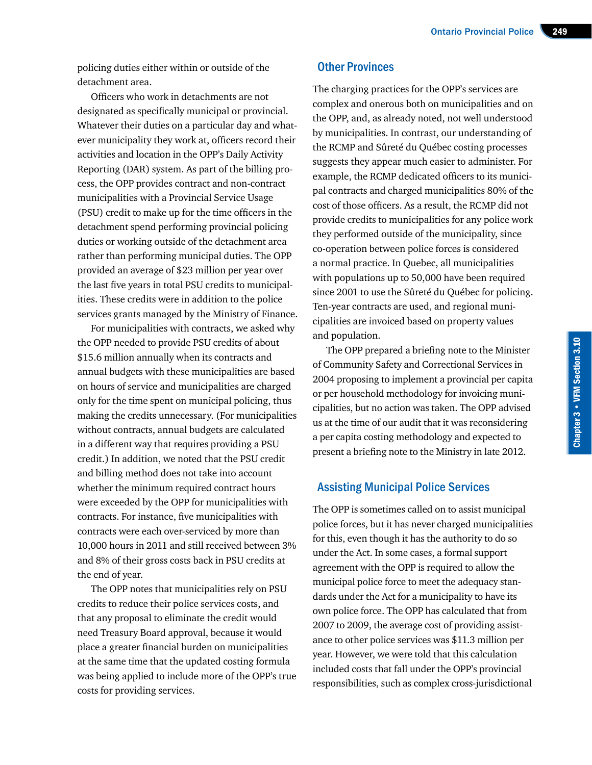policing duties either within or outside of the detachment area.

Officers who work in detachments are not designated as specifically municipal or provincial. Whatever their duties on a particular day and whatever municipality they work at, officers record their activities and location in the OPP's Daily Activity Reporting (DAR) system. As part of the billing process, the OPP provides contract and non-contract municipalities with a Provincial Service Usage (PSU) credit to make up for the time officers in the detachment spend performing provincial policing duties or working outside of the detachment area rather than performing municipal duties. The OPP provided an average of \$23 million per year over the last five years in total PSU credits to municipalities. These credits were in addition to the police services grants managed by the Ministry of Finance.

For municipalities with contracts, we asked why the OPP needed to provide PSU credits of about \$15.6 million annually when its contracts and annual budgets with these municipalities are based on hours of service and municipalities are charged only for the time spent on municipal policing, thus making the credits unnecessary. (For municipalities without contracts, annual budgets are calculated in a different way that requires providing a PSU credit.) In addition, we noted that the PSU credit and billing method does not take into account whether the minimum required contract hours were exceeded by the OPP for municipalities with contracts. For instance, five municipalities with contracts were each over-serviced by more than 10,000 hours in 2011 and still received between 3% and 8% of their gross costs back in PSU credits at the end of year.

The OPP notes that municipalities rely on PSU credits to reduce their police services costs, and that any proposal to eliminate the credit would need Treasury Board approval, because it would place a greater financial burden on municipalities at the same time that the updated costing formula was being applied to include more of the OPP's true costs for providing services.

#### Other Provinces

The charging practices for the OPP's services are complex and onerous both on municipalities and on the OPP, and, as already noted, not well understood by municipalities. In contrast, our understanding of the RCMP and Sûreté du Québec costing processes suggests they appear much easier to administer. For example, the RCMP dedicated officers to its municipal contracts and charged municipalities 80% of the cost of those officers. As a result, the RCMP did not provide credits to municipalities for any police work they performed outside of the municipality, since co-operation between police forces is considered a normal practice. In Quebec, all municipalities with populations up to 50,000 have been required since 2001 to use the Sûreté du Québec for policing. Ten-year contracts are used, and regional municipalities are invoiced based on property values and population.

The OPP prepared a briefing note to the Minister of Community Safety and Correctional Services in 2004 proposing to implement a provincial per capita or per household methodology for invoicing municipalities, but no action was taken. The OPP advised us at the time of our audit that it was reconsidering a per capita costing methodology and expected to present a briefing note to the Ministry in late 2012.

#### Assisting Municipal Police Services

The OPP is sometimes called on to assist municipal police forces, but it has never charged municipalities for this, even though it has the authority to do so under the Act. In some cases, a formal support agreement with the OPP is required to allow the municipal police force to meet the adequacy standards under the Act for a municipality to have its own police force. The OPP has calculated that from 2007 to 2009, the average cost of providing assistance to other police services was \$11.3 million per year. However, we were told that this calculation included costs that fall under the OPP's provincial responsibilities, such as complex cross-jurisdictional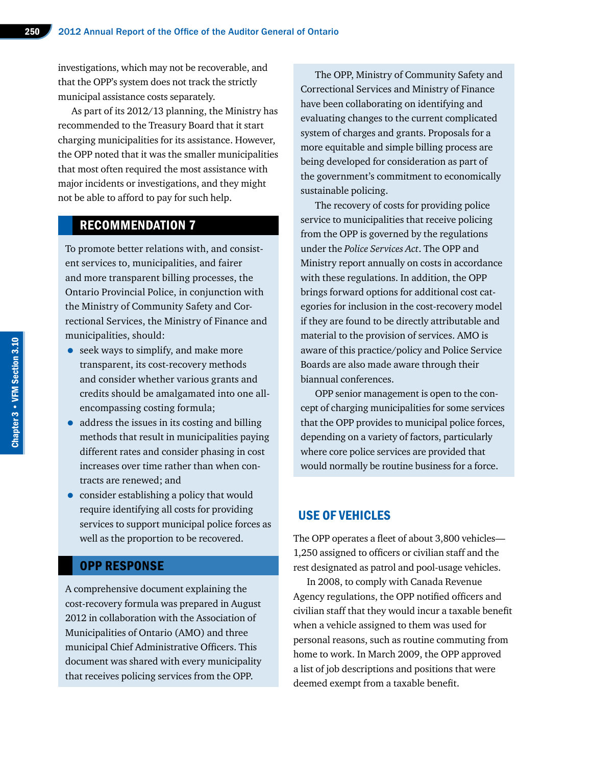investigations, which may not be recoverable, and that the OPP's system does not track the strictly municipal assistance costs separately.

As part of its 2012/13 planning, the Ministry has recommended to the Treasury Board that it start charging municipalities for its assistance. However, the OPP noted that it was the smaller municipalities that most often required the most assistance with major incidents or investigations, and they might not be able to afford to pay for such help.

#### RECOMMENDATION 7

To promote better relations with, and consistent services to, municipalities, and fairer and more transparent billing processes, the Ontario Provincial Police, in conjunction with the Ministry of Community Safety and Correctional Services, the Ministry of Finance and municipalities, should:

- seek ways to simplify, and make more transparent, its cost-recovery methods and consider whether various grants and credits should be amalgamated into one allencompassing costing formula;
- address the issues in its costing and billing methods that result in municipalities paying different rates and consider phasing in cost increases over time rather than when contracts are renewed; and
- consider establishing a policy that would require identifying all costs for providing services to support municipal police forces as well as the proportion to be recovered.

#### OPP RESPONSE

A comprehensive document explaining the cost-recovery formula was prepared in August 2012 in collaboration with the Association of Municipalities of Ontario (AMO) and three municipal Chief Administrative Officers. This document was shared with every municipality that receives policing services from the OPP.

The OPP, Ministry of Community Safety and Correctional Services and Ministry of Finance have been collaborating on identifying and evaluating changes to the current complicated system of charges and grants. Proposals for a more equitable and simple billing process are being developed for consideration as part of the government's commitment to economically sustainable policing.

The recovery of costs for providing police service to municipalities that receive policing from the OPP is governed by the regulations under the *Police Services Act*. The OPP and Ministry report annually on costs in accordance with these regulations. In addition, the OPP brings forward options for additional cost categories for inclusion in the cost-recovery model if they are found to be directly attributable and material to the provision of services. AMO is aware of this practice/policy and Police Service Boards are also made aware through their biannual conferences.

OPP senior management is open to the concept of charging municipalities for some services that the OPP provides to municipal police forces, depending on a variety of factors, particularly where core police services are provided that would normally be routine business for a force.

#### USE OF VEHICLES

The OPP operates a fleet of about 3,800 vehicles— 1,250 assigned to officers or civilian staff and the rest designated as patrol and pool-usage vehicles.

In 2008, to comply with Canada Revenue Agency regulations, the OPP notified officers and civilian staff that they would incur a taxable benefit when a vehicle assigned to them was used for personal reasons, such as routine commuting from home to work. In March 2009, the OPP approved a list of job descriptions and positions that were deemed exempt from a taxable benefit.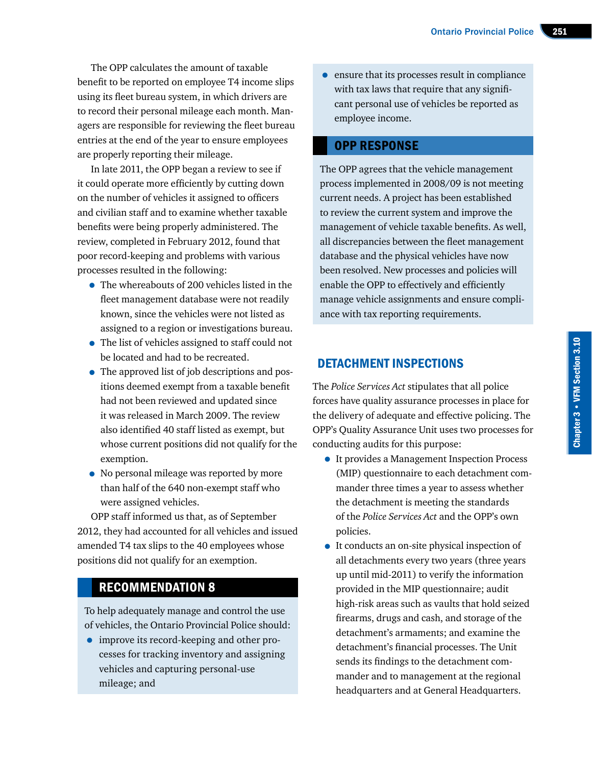The OPP calculates the amount of taxable benefit to be reported on employee T4 income slips using its fleet bureau system, in which drivers are to record their personal mileage each month. Managers are responsible for reviewing the fleet bureau entries at the end of the year to ensure employees are properly reporting their mileage.

In late 2011, the OPP began a review to see if it could operate more efficiently by cutting down on the number of vehicles it assigned to officers and civilian staff and to examine whether taxable benefits were being properly administered. The review, completed in February 2012, found that poor record-keeping and problems with various processes resulted in the following:

- The whereabouts of 200 vehicles listed in the fleet management database were not readily known, since the vehicles were not listed as assigned to a region or investigations bureau.
- The list of vehicles assigned to staff could not be located and had to be recreated.
- The approved list of job descriptions and positions deemed exempt from a taxable benefit had not been reviewed and updated since it was released in March 2009. The review also identified 40 staff listed as exempt, but whose current positions did not qualify for the exemption.
- No personal mileage was reported by more than half of the 640 non-exempt staff who were assigned vehicles.

OPP staff informed us that, as of September 2012, they had accounted for all vehicles and issued amended T4 tax slips to the 40 employees whose positions did not qualify for an exemption.

#### RECOMMENDATION 8

To help adequately manage and control the use of vehicles, the Ontario Provincial Police should:

• improve its record-keeping and other processes for tracking inventory and assigning vehicles and capturing personal-use mileage; and

• ensure that its processes result in compliance with tax laws that require that any significant personal use of vehicles be reported as employee income.

#### OPP RESPONSE

The OPP agrees that the vehicle management process implemented in 2008/09 is not meeting current needs. A project has been established to review the current system and improve the management of vehicle taxable benefits. As well, all discrepancies between the fleet management database and the physical vehicles have now been resolved. New processes and policies will enable the OPP to effectively and efficiently manage vehicle assignments and ensure compliance with tax reporting requirements.

#### DETACHMENT INSPECTIONS

The *Police Services Act* stipulates that all police forces have quality assurance processes in place for the delivery of adequate and effective policing. The OPP's Quality Assurance Unit uses two processes for conducting audits for this purpose:

- It provides a Management Inspection Process (MIP) questionnaire to each detachment commander three times a year to assess whether the detachment is meeting the standards of the *Police Services Act* and the OPP's own policies.
- It conducts an on-site physical inspection of all detachments every two years (three years up until mid-2011) to verify the information provided in the MIP questionnaire; audit high-risk areas such as vaults that hold seized firearms, drugs and cash, and storage of the detachment's armaments; and examine the detachment's financial processes. The Unit sends its findings to the detachment commander and to management at the regional headquarters and at General Headquarters.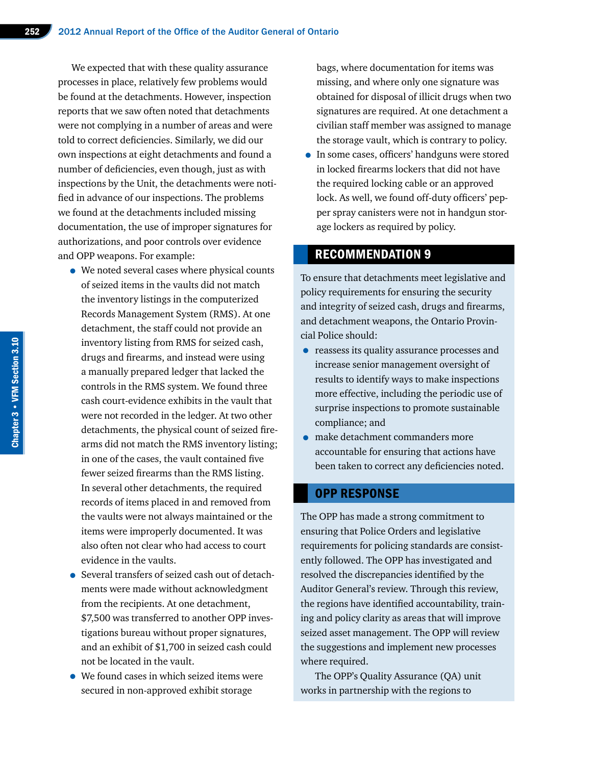We expected that with these quality assurance processes in place, relatively few problems would be found at the detachments. However, inspection reports that we saw often noted that detachments were not complying in a number of areas and were told to correct deficiencies. Similarly, we did our own inspections at eight detachments and found a number of deficiencies, even though, just as with inspections by the Unit, the detachments were notified in advance of our inspections. The problems we found at the detachments included missing documentation, the use of improper signatures for authorizations, and poor controls over evidence and OPP weapons. For example:

- We noted several cases where physical counts of seized items in the vaults did not match the inventory listings in the computerized Records Management System (RMS). At one detachment, the staff could not provide an inventory listing from RMS for seized cash, drugs and firearms, and instead were using a manually prepared ledger that lacked the controls in the RMS system. We found three cash court-evidence exhibits in the vault that were not recorded in the ledger. At two other detachments, the physical count of seized firearms did not match the RMS inventory listing; in one of the cases, the vault contained five fewer seized firearms than the RMS listing. In several other detachments, the required records of items placed in and removed from the vaults were not always maintained or the items were improperly documented. It was also often not clear who had access to court evidence in the vaults.
- Several transfers of seized cash out of detachments were made without acknowledgment from the recipients. At one detachment, \$7,500 was transferred to another OPP investigations bureau without proper signatures, and an exhibit of \$1,700 in seized cash could not be located in the vault.
- We found cases in which seized items were secured in non-approved exhibit storage

bags, where documentation for items was missing, and where only one signature was obtained for disposal of illicit drugs when two signatures are required. At one detachment a civilian staff member was assigned to manage the storage vault, which is contrary to policy.

• In some cases, officers' handguns were stored in locked firearms lockers that did not have the required locking cable or an approved lock. As well, we found off-duty officers' pepper spray canisters were not in handgun storage lockers as required by policy.

#### RECOMMENDATION 9

To ensure that detachments meet legislative and policy requirements for ensuring the security and integrity of seized cash, drugs and firearms, and detachment weapons, the Ontario Provincial Police should:

- reassess its quality assurance processes and increase senior management oversight of results to identify ways to make inspections more effective, including the periodic use of surprise inspections to promote sustainable compliance; and
- make detachment commanders more accountable for ensuring that actions have been taken to correct any deficiencies noted.

#### OPP RESPONSE

The OPP has made a strong commitment to ensuring that Police Orders and legislative requirements for policing standards are consistently followed. The OPP has investigated and resolved the discrepancies identified by the Auditor General's review. Through this review, the regions have identified accountability, training and policy clarity as areas that will improve seized asset management. The OPP will review the suggestions and implement new processes where required.

The OPP's Quality Assurance (QA) unit works in partnership with the regions to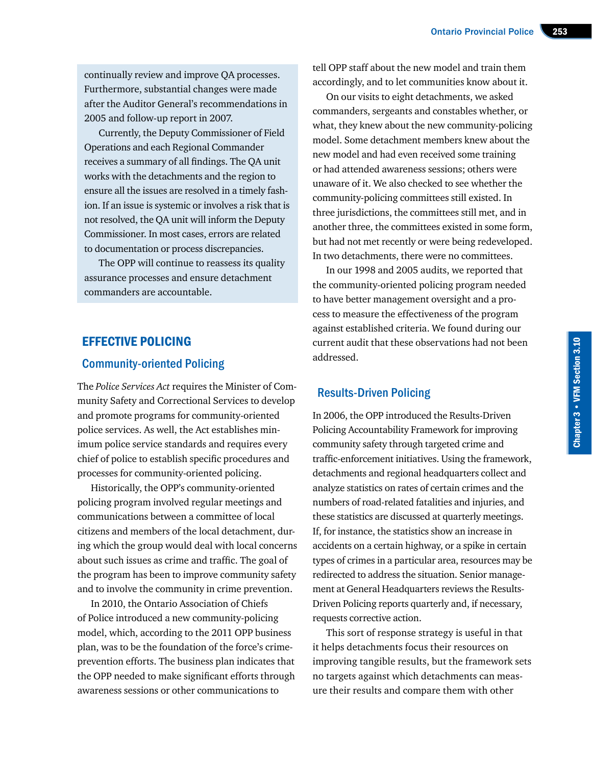continually review and improve QA processes. Furthermore, substantial changes were made after the Auditor General's recommendations in 2005 and follow-up report in 2007.

Currently, the Deputy Commissioner of Field Operations and each Regional Commander receives a summary of all findings. The QA unit works with the detachments and the region to ensure all the issues are resolved in a timely fashion. If an issue is systemic or involves a risk that is not resolved, the QA unit will inform the Deputy Commissioner. In most cases, errors are related to documentation or process discrepancies.

The OPP will continue to reassess its quality assurance processes and ensure detachment commanders are accountable.

#### EFFECTIVE POLICING

#### Community-oriented Policing

The *Police Services Act* requires the Minister of Community Safety and Correctional Services to develop and promote programs for community-oriented police services. As well, the Act establishes minimum police service standards and requires every chief of police to establish specific procedures and processes for community-oriented policing.

Historically, the OPP's community-oriented policing program involved regular meetings and communications between a committee of local citizens and members of the local detachment, during which the group would deal with local concerns about such issues as crime and traffic. The goal of the program has been to improve community safety and to involve the community in crime prevention.

In 2010, the Ontario Association of Chiefs of Police introduced a new community-policing model, which, according to the 2011 OPP business plan, was to be the foundation of the force's crimeprevention efforts. The business plan indicates that the OPP needed to make significant efforts through awareness sessions or other communications to

tell OPP staff about the new model and train them accordingly, and to let communities know about it.

On our visits to eight detachments, we asked commanders, sergeants and constables whether, or what, they knew about the new community-policing model. Some detachment members knew about the new model and had even received some training or had attended awareness sessions; others were unaware of it. We also checked to see whether the community-policing committees still existed. In three jurisdictions, the committees still met, and in another three, the committees existed in some form, but had not met recently or were being redeveloped. In two detachments, there were no committees.

In our 1998 and 2005 audits, we reported that the community-oriented policing program needed to have better management oversight and a process to measure the effectiveness of the program against established criteria. We found during our current audit that these observations had not been addressed.

#### Results-Driven Policing

In 2006, the OPP introduced the Results-Driven Policing Accountability Framework for improving community safety through targeted crime and traffic-enforcement initiatives. Using the framework, detachments and regional headquarters collect and analyze statistics on rates of certain crimes and the numbers of road-related fatalities and injuries, and these statistics are discussed at quarterly meetings. If, for instance, the statistics show an increase in accidents on a certain highway, or a spike in certain types of crimes in a particular area, resources may be redirected to address the situation. Senior management at General Headquarters reviews the Results-Driven Policing reports quarterly and, if necessary, requests corrective action.

This sort of response strategy is useful in that it helps detachments focus their resources on improving tangible results, but the framework sets no targets against which detachments can measure their results and compare them with other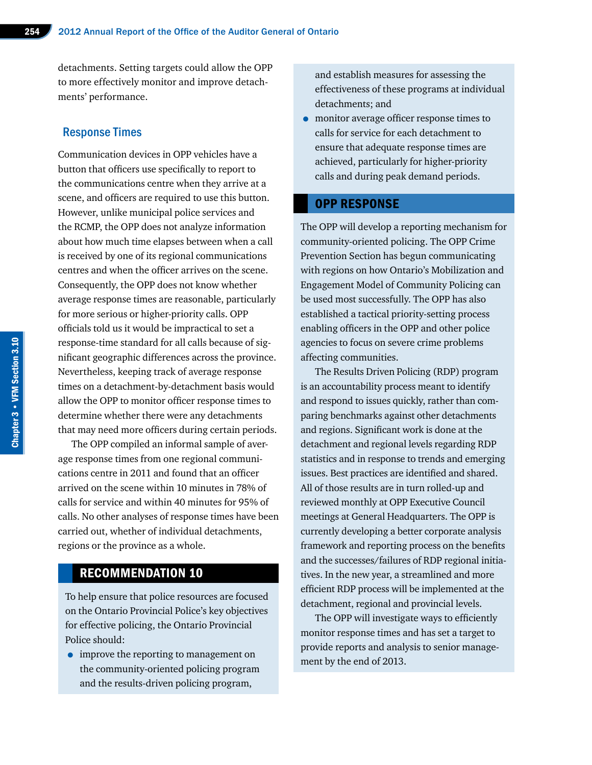detachments. Setting targets could allow the OPP to more effectively monitor and improve detachments' performance.

#### Response Times

Communication devices in OPP vehicles have a button that officers use specifically to report to the communications centre when they arrive at a scene, and officers are required to use this button. However, unlike municipal police services and the RCMP, the OPP does not analyze information about how much time elapses between when a call is received by one of its regional communications centres and when the officer arrives on the scene. Consequently, the OPP does not know whether average response times are reasonable, particularly for more serious or higher-priority calls. OPP officials told us it would be impractical to set a response-time standard for all calls because of significant geographic differences across the province. Nevertheless, keeping track of average response times on a detachment-by-detachment basis would allow the OPP to monitor officer response times to determine whether there were any detachments that may need more officers during certain periods.

The OPP compiled an informal sample of average response times from one regional communications centre in 2011 and found that an officer arrived on the scene within 10 minutes in 78% of calls for service and within 40 minutes for 95% of calls. No other analyses of response times have been carried out, whether of individual detachments, regions or the province as a whole.

#### RECOMMENDATION 10

To help ensure that police resources are focused on the Ontario Provincial Police's key objectives for effective policing, the Ontario Provincial Police should:

• improve the reporting to management on the community-oriented policing program and the results-driven policing program,

and establish measures for assessing the effectiveness of these programs at individual detachments; and

• monitor average officer response times to calls for service for each detachment to ensure that adequate response times are achieved, particularly for higher-priority calls and during peak demand periods.

#### OPP RESPONSE

The OPP will develop a reporting mechanism for community-oriented policing. The OPP Crime Prevention Section has begun communicating with regions on how Ontario's Mobilization and Engagement Model of Community Policing can be used most successfully. The OPP has also established a tactical priority-setting process enabling officers in the OPP and other police agencies to focus on severe crime problems affecting communities.

The Results Driven Policing (RDP) program is an accountability process meant to identify and respond to issues quickly, rather than comparing benchmarks against other detachments and regions. Significant work is done at the detachment and regional levels regarding RDP statistics and in response to trends and emerging issues. Best practices are identified and shared. All of those results are in turn rolled-up and reviewed monthly at OPP Executive Council meetings at General Headquarters. The OPP is currently developing a better corporate analysis framework and reporting process on the benefits and the successes/failures of RDP regional initiatives. In the new year, a streamlined and more efficient RDP process will be implemented at the detachment, regional and provincial levels.

The OPP will investigate ways to efficiently monitor response times and has set a target to provide reports and analysis to senior management by the end of 2013.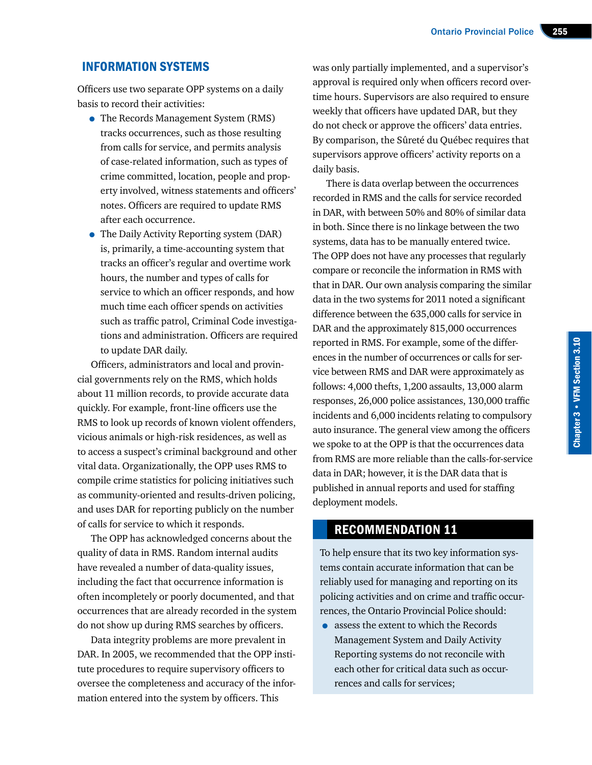#### INFORMATION SYSTEMS

Officers use two separate OPP systems on a daily basis to record their activities:

- The Records Management System (RMS) tracks occurrences, such as those resulting from calls for service, and permits analysis of case-related information, such as types of crime committed, location, people and property involved, witness statements and officers' notes. Officers are required to update RMS after each occurrence.
- The Daily Activity Reporting system (DAR) is, primarily, a time-accounting system that tracks an officer's regular and overtime work hours, the number and types of calls for service to which an officer responds, and how much time each officer spends on activities such as traffic patrol, Criminal Code investigations and administration. Officers are required to update DAR daily.

Officers, administrators and local and provincial governments rely on the RMS, which holds about 11 million records, to provide accurate data quickly. For example, front-line officers use the RMS to look up records of known violent offenders, vicious animals or high-risk residences, as well as to access a suspect's criminal background and other vital data. Organizationally, the OPP uses RMS to compile crime statistics for policing initiatives such as community-oriented and results-driven policing, and uses DAR for reporting publicly on the number of calls for service to which it responds.

The OPP has acknowledged concerns about the quality of data in RMS. Random internal audits have revealed a number of data-quality issues, including the fact that occurrence information is often incompletely or poorly documented, and that occurrences that are already recorded in the system do not show up during RMS searches by officers.

Data integrity problems are more prevalent in DAR. In 2005, we recommended that the OPP institute procedures to require supervisory officers to oversee the completeness and accuracy of the information entered into the system by officers. This

was only partially implemented, and a supervisor's approval is required only when officers record overtime hours. Supervisors are also required to ensure weekly that officers have updated DAR, but they do not check or approve the officers' data entries. By comparison, the Sûreté du Québec requires that supervisors approve officers' activity reports on a daily basis.

There is data overlap between the occurrences recorded in RMS and the calls for service recorded in DAR, with between 50% and 80% of similar data in both. Since there is no linkage between the two systems, data has to be manually entered twice. The OPP does not have any processes that regularly compare or reconcile the information in RMS with that in DAR. Our own analysis comparing the similar data in the two systems for 2011 noted a significant difference between the 635,000 calls for service in DAR and the approximately 815,000 occurrences reported in RMS. For example, some of the differences in the number of occurrences or calls for service between RMS and DAR were approximately as follows: 4,000 thefts, 1,200 assaults, 13,000 alarm responses, 26,000 police assistances, 130,000 traffic incidents and 6,000 incidents relating to compulsory auto insurance. The general view among the officers we spoke to at the OPP is that the occurrences data from RMS are more reliable than the calls-for-service data in DAR; however, it is the DAR data that is published in annual reports and used for staffing deployment models.

#### RECOMMENDATION 11

To help ensure that its two key information systems contain accurate information that can be reliably used for managing and reporting on its policing activities and on crime and traffic occurrences, the Ontario Provincial Police should:

• assess the extent to which the Records Management System and Daily Activity Reporting systems do not reconcile with each other for critical data such as occurrences and calls for services;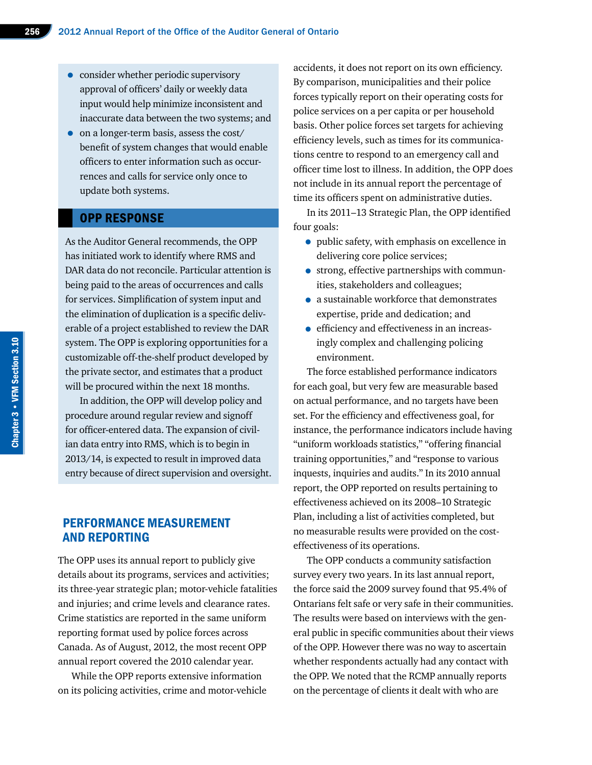- consider whether periodic supervisory approval of officers' daily or weekly data input would help minimize inconsistent and inaccurate data between the two systems; and
- on a longer-term basis, assess the cost/ benefit of system changes that would enable officers to enter information such as occurrences and calls for service only once to update both systems.

#### OPP RESPONSE

As the Auditor General recommends, the OPP has initiated work to identify where RMS and DAR data do not reconcile. Particular attention is being paid to the areas of occurrences and calls for services. Simplification of system input and the elimination of duplication is a specific deliverable of a project established to review the DAR system. The OPP is exploring opportunities for a customizable off-the-shelf product developed by the private sector, and estimates that a product will be procured within the next 18 months.

In addition, the OPP will develop policy and procedure around regular review and signoff for officer-entered data. The expansion of civilian data entry into RMS, which is to begin in 2013/14, is expected to result in improved data entry because of direct supervision and oversight.

#### PERFORMANCE MEASUREMENT AND REPORTING

The OPP uses its annual report to publicly give details about its programs, services and activities; its three-year strategic plan; motor-vehicle fatalities and injuries; and crime levels and clearance rates. Crime statistics are reported in the same uniform reporting format used by police forces across Canada. As of August, 2012, the most recent OPP annual report covered the 2010 calendar year.

While the OPP reports extensive information on its policing activities, crime and motor-vehicle accidents, it does not report on its own efficiency. By comparison, municipalities and their police forces typically report on their operating costs for police services on a per capita or per household basis. Other police forces set targets for achieving efficiency levels, such as times for its communications centre to respond to an emergency call and officer time lost to illness. In addition, the OPP does not include in its annual report the percentage of time its officers spent on administrative duties.

In its 2011–13 Strategic Plan, the OPP identified four goals:

- public safety, with emphasis on excellence in delivering core police services;
- strong, effective partnerships with communities, stakeholders and colleagues;
- a sustainable workforce that demonstrates expertise, pride and dedication; and
- efficiency and effectiveness in an increasingly complex and challenging policing environment.

The force established performance indicators for each goal, but very few are measurable based on actual performance, and no targets have been set. For the efficiency and effectiveness goal, for instance, the performance indicators include having "uniform workloads statistics," "offering financial training opportunities," and "response to various inquests, inquiries and audits." In its 2010 annual report, the OPP reported on results pertaining to effectiveness achieved on its 2008–10 Strategic Plan, including a list of activities completed, but no measurable results were provided on the costeffectiveness of its operations.

The OPP conducts a community satisfaction survey every two years. In its last annual report, the force said the 2009 survey found that 95.4% of Ontarians felt safe or very safe in their communities. The results were based on interviews with the general public in specific communities about their views of the OPP. However there was no way to ascertain whether respondents actually had any contact with the OPP. We noted that the RCMP annually reports on the percentage of clients it dealt with who are